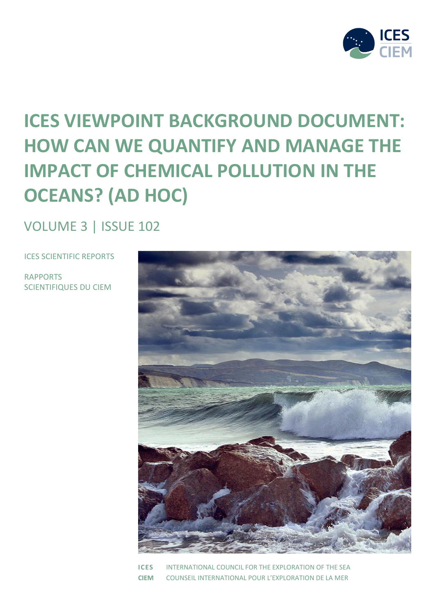

# **ICES VIEWPOINT BACKGROUND DOCUMENT: HOW CAN WE QUANTIFY AND MANAGE THE IMPACT OF CHEMICAL POLLUTION IN THE OCEANS? (AD HOC)**

VOLUME 3 | ISSUE 102

ICES SCIENTIFIC REPORTS

RAPPORTS SCIENTIFIQUES DU CIEM



**ICES** INTERNATIONAL COUNCIL FOR THE EXPLORATION OF THE SEA **CIEM** COUNSEIL INTERNATIONAL POUR L'EXPLORATION DE LA MER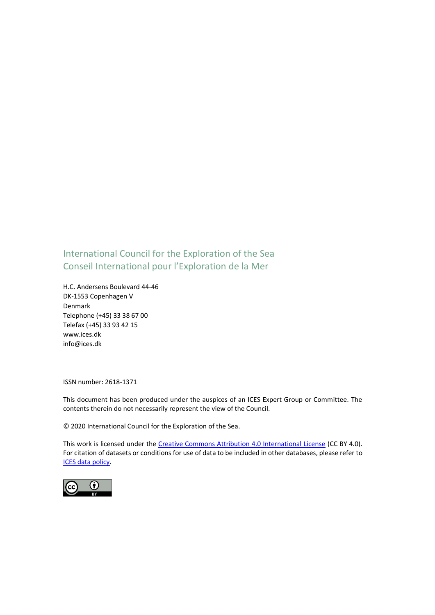### International Council for the Exploration of the Sea Conseil International pour l'Exploration de la Mer

H.C. Andersens Boulevard 44-46 DK-1553 Copenhagen V Denmark Telephone (+45) 33 38 67 00 Telefax (+45) 33 93 42 15 www.ices.dk info@ices.dk

ISSN number: 2618-1371

This document has been produced under the auspices of an ICES Expert Group or Committee. The contents therein do not necessarily represent the view of the Council.

© 2020 International Council for the Exploration of the Sea.

This work is licensed under the [Creative Commons Attribution 4.0 International License](https://creativecommons.org/licenses/by/4.0/) (CC BY 4.0). For citation of datasets or conditions for use of data to be included in other databases, please refer to [ICES data policy.](https://www.ices.dk/data/guidelines-and-policy/Pages/ICES-data-policy.aspx)

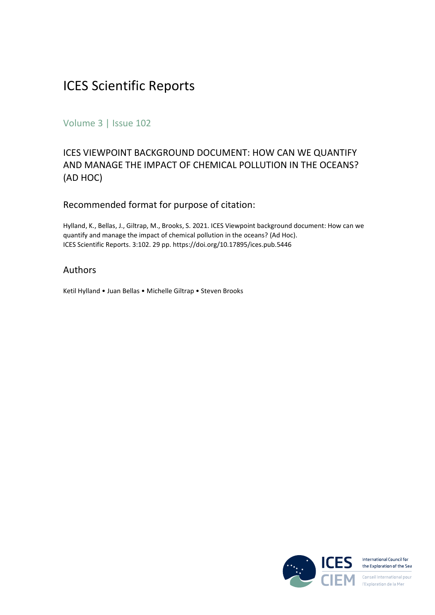### ICES Scientific Reports

Volume 3 | Issue 102

### ICES VIEWPOINT BACKGROUND DOCUMENT: HOW CAN WE QUANTIFY AND MANAGE THE IMPACT OF CHEMICAL POLLUTION IN THE OCEANS? (AD HOC)

#### Recommended format for purpose of citation:

Hylland, K., Bellas, J., Giltrap, M., Brooks, S. 2021. ICES Viewpoint background document: How can we quantify and manage the impact of chemical pollution in the oceans? (Ad Hoc). ICES Scientific Reports. 3:102. 29 pp. https://doi.org/10.17895/ices.pub.5446

#### Authors

Ketil Hylland • Juan Bellas • Michelle Giltrap • Steven Brooks

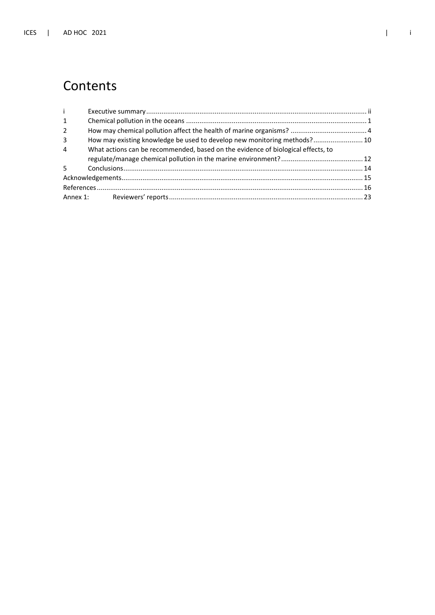### Contents

| $\mathbf{i}$   |                                                                                  |  |
|----------------|----------------------------------------------------------------------------------|--|
| $\mathbf{1}$   |                                                                                  |  |
| $\overline{2}$ |                                                                                  |  |
| 3              | How may existing knowledge be used to develop new monitoring methods? 10         |  |
| $\overline{4}$ | What actions can be recommended, based on the evidence of biological effects, to |  |
|                |                                                                                  |  |
|                |                                                                                  |  |
|                |                                                                                  |  |
|                |                                                                                  |  |
|                |                                                                                  |  |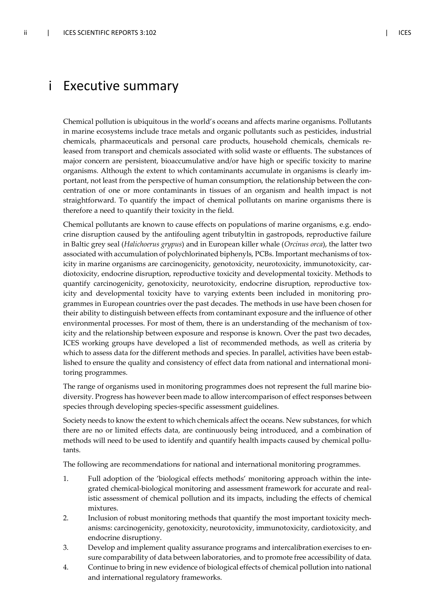### i Executive summary

Chemical pollution is ubiquitous in the world's oceans and affects marine organisms. Pollutants in marine ecosystems include trace metals and organic pollutants such as pesticides, industrial chemicals, pharmaceuticals and personal care products, household chemicals, chemicals released from transport and chemicals associated with solid waste or effluents. The substances of major concern are persistent, bioaccumulative and/or have high or specific toxicity to marine organisms. Although the extent to which contaminants accumulate in organisms is clearly important, not least from the perspective of human consumption, the relationship between the concentration of one or more contaminants in tissues of an organism and health impact is not straightforward. To quantify the impact of chemical pollutants on marine organisms there is therefore a need to quantify their toxicity in the field.

Chemical pollutants are known to cause effects on populations of marine organisms, e.g. endocrine disruption caused by the antifouling agent tributyltin in gastropods, reproductive failure in Baltic grey seal (*Halichoerus grypus*) and in European killer whale (*Orcinus orca*), the latter two associated with accumulation of polychlorinated biphenyls, PCBs. Important mechanisms of toxicity in marine organisms are carcinogenicity, genotoxicity, neurotoxicity, immunotoxicity, cardiotoxicity, endocrine disruption, reproductive toxicity and developmental toxicity. Methods to quantify carcinogenicity, genotoxicity, neurotoxicity, endocrine disruption, reproductive toxicity and developmental toxicity have to varying extents been included in monitoring programmes in European countries over the past decades. The methods in use have been chosen for their ability to distinguish between effects from contaminant exposure and the influence of other environmental processes. For most of them, there is an understanding of the mechanism of toxicity and the relationship between exposure and response is known. Over the past two decades, ICES working groups have developed a list of recommended methods, as well as criteria by which to assess data for the different methods and species. In parallel, activities have been established to ensure the quality and consistency of effect data from national and international monitoring programmes.

The range of organisms used in monitoring programmes does not represent the full marine biodiversity. Progress has however been made to allow intercomparison of effect responses between species through developing species-specific assessment guidelines.

Society needs to know the extent to which chemicals affect the oceans. New substances, for which there are no or limited effects data, are continuously being introduced, and a combination of methods will need to be used to identify and quantify health impacts caused by chemical pollutants.

The following are recommendations for national and international monitoring programmes.

- 1. Full adoption of the 'biological effects methods' monitoring approach within the integrated chemical-biological monitoring and assessment framework for accurate and realistic assessment of chemical pollution and its impacts, including the effects of chemical mixtures.
- 2. Inclusion of robust monitoring methods that quantify the most important toxicity mechanisms: carcinogenicity, genotoxicity, neurotoxicity, immunotoxicity, cardiotoxicity, and endocrine disruptiony.
- 3. Develop and implement quality assurance programs and intercalibration exercises to ensure comparability of data between laboratories, and to promote free accessibility of data.
- 4. Continue to bring in new evidence of biological effects of chemical pollution into national and international regulatory frameworks.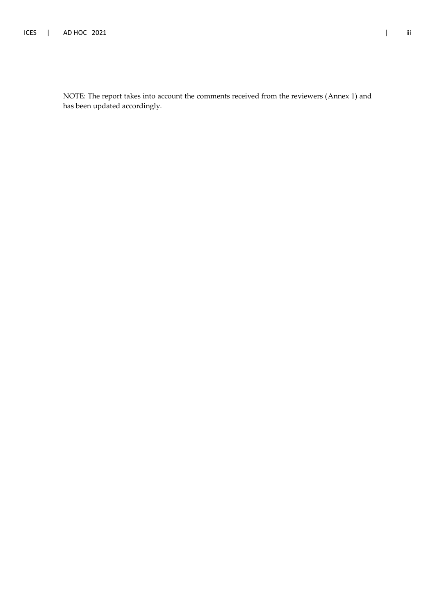NOTE: The report takes into account the comments received from the reviewers (Annex 1) and has been updated accordingly.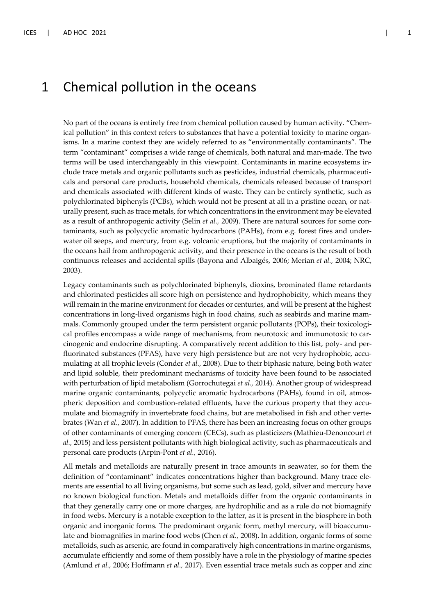### 1 Chemical pollution in the oceans

No part of the oceans is entirely free from chemical pollution caused by human activity. "Chemical pollution" in this context refers to substances that have a potential toxicity to marine organisms. In a marine context they are widely referred to as "environmentally contaminants". The term "contaminant" comprises a wide range of chemicals, both natural and man-made. The two terms will be used interchangeably in this viewpoint. Contaminants in marine ecosystems include trace metals and organic pollutants such as pesticides, industrial chemicals, pharmaceuticals and personal care products, household chemicals, chemicals released because of transport and chemicals associated with different kinds of waste. They can be entirely synthetic, such as polychlorinated biphenyls (PCBs), which would not be present at all in a pristine ocean, or naturally present, such as trace metals, for which concentrations in the environment may be elevated as a result of anthropogenic activity (Selin *et al.,* 2009). There are natural sources for some contaminants, such as polycyclic aromatic hydrocarbons (PAHs), from e.g. forest fires and underwater oil seeps, and mercury, from e.g. volcanic eruptions, but the majority of contaminants in the oceans hail from anthropogenic activity, and their presence in the oceans is the result of both continuous releases and accidental spills (Bayona and Albaigés, 2006; Merian *et al.,* 2004; NRC, 2003).

Legacy contaminants such as polychlorinated biphenyls, dioxins, brominated flame retardants and chlorinated pesticides all score high on persistence and hydrophobicity, which means they will remain in the marine environment for decades or centuries, and will be present at the highest concentrations in long-lived organisms high in food chains, such as seabirds and marine mammals. Commonly grouped under the term persistent organic pollutants (POPs), their toxicological profiles encompass a wide range of mechanisms, from neurotoxic and immunotoxic to carcinogenic and endocrine disrupting. A comparatively recent addition to this list, poly- and perfluorinated substances (PFAS), have very high persistence but are not very hydrophobic, accumulating at all trophic levels (Conder *et al.,* 2008). Due to their biphasic nature, being both water and lipid soluble, their predominant mechanisms of toxicity have been found to be associated with perturbation of lipid metabolism (Gorrochutegai *et al.,* 2014). Another group of widespread marine organic contaminants, polycyclic aromatic hydrocarbons (PAHs), found in oil, atmospheric deposition and combustion-related effluents, have the curious property that they accumulate and biomagnify in invertebrate food chains, but are metabolised in fish and other vertebrates (Wan *et al.,* 2007). In addition to PFAS, there has been an increasing focus on other groups of other contaminants of emerging concern (CECs), such as plasticizers (Mathieu-Denoncourt *et al.,* 2015) and less persistent pollutants with high biological activity, such as pharmaceuticals and personal care products (Arpin-Pont *et al.,* 2016).

All metals and metalloids are naturally present in trace amounts in seawater, so for them the definition of "contaminant" indicates concentrations higher than background. Many trace elements are essential to all living organisms, but some such as lead, gold, silver and mercury have no known biological function. Metals and metalloids differ from the organic contaminants in that they generally carry one or more charges, are hydrophilic and as a rule do not biomagnify in food webs. Mercury is a notable exception to the latter, as it is present in the biosphere in both organic and inorganic forms. The predominant organic form, methyl mercury, will bioaccumulate and biomagnifies in marine food webs (Chen *et al.,* 2008). In addition, organic forms of some metalloids, such as arsenic, are found in comparatively high concentrations in marine organisms, accumulate efficiently and some of them possibly have a role in the physiology of marine species (Amlund *et al.,* 2006; Hoffmann *et al.,* 2017). Even essential trace metals such as copper and zinc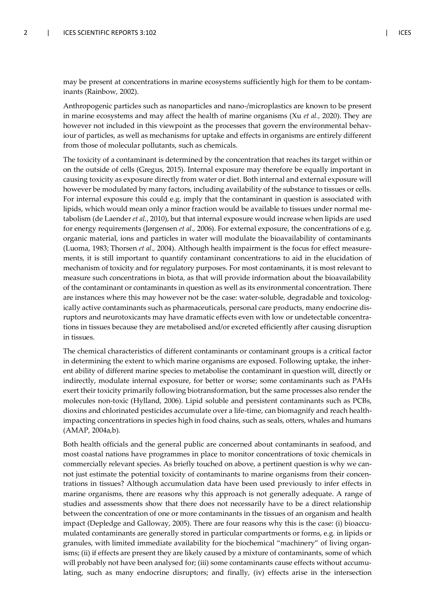may be present at concentrations in marine ecosystems sufficiently high for them to be contaminants (Rainbow, 2002).

Anthropogenic particles such as nanoparticles and nano-/microplastics are known to be present in marine ecosystems and may affect the health of marine organisms (Xu *et al.,* 2020). They are however not included in this viewpoint as the processes that govern the environmental behaviour of particles, as well as mechanisms for uptake and effects in organisms are entirely different from those of molecular pollutants, such as chemicals.

The toxicity of a contaminant is determined by the concentration that reaches its target within or on the outside of cells (Gregus, 2015). Internal exposure may therefore be equally important in causing toxicity as exposure directly from water or diet. Both internal and external exposure will however be modulated by many factors, including availability of the substance to tissues or cells. For internal exposure this could e.g. imply that the contaminant in question is associated with lipids, which would mean only a minor fraction would be available to tissues under normal metabolism (de Laender *et al.*, 2010), but that internal exposure would increase when lipids are used for energy requirements (Jørgensen *et al.,* 2006). For external exposure, the concentrations of e.g. organic material, ions and particles in water will modulate the bioavailability of contaminants (Luoma, 1983; Thorsen *et al.,* 2004). Although health impairment is the focus for effect measurements, it is still important to quantify contaminant concentrations to aid in the elucidation of mechanism of toxicity and for regulatory purposes. For most contaminants, it is most relevant to measure such concentrations in biota, as that will provide information about the bioavailability of the contaminant or contaminants in question as well as its environmental concentration. There are instances where this may however not be the case: water-soluble, degradable and toxicologically active contaminants such as pharmaceuticals, personal care products, many endocrine disruptors and neurotoxicants may have dramatic effects even with low or undetectable concentrations in tissues because they are metabolised and/or excreted efficiently after causing disruption in tissues.

The chemical characteristics of different contaminants or contaminant groups is a critical factor in determining the extent to which marine organisms are exposed. Following uptake, the inherent ability of different marine species to metabolise the contaminant in question will, directly or indirectly, modulate internal exposure, for better or worse; some contaminants such as PAHs exert their toxicity primarily following biotransformation, but the same processes also render the molecules non-toxic (Hylland, 2006). Lipid soluble and persistent contaminants such as PCBs, dioxins and chlorinated pesticides accumulate over a life-time, can biomagnify and reach healthimpacting concentrations in species high in food chains, such as seals, otters, whales and humans (AMAP, 2004a,b).

Both health officials and the general public are concerned about contaminants in seafood, and most coastal nations have programmes in place to monitor concentrations of toxic chemicals in commercially relevant species. As briefly touched on above, a pertinent question is why we cannot just estimate the potential toxicity of contaminants to marine organisms from their concentrations in tissues? Although accumulation data have been used previously to infer effects in marine organisms, there are reasons why this approach is not generally adequate. A range of studies and assessments show that there does not necessarily have to be a direct relationship between the concentration of one or more contaminants in the tissues of an organism and health impact (Depledge and Galloway, 2005). There are four reasons why this is the case: (i) bioaccumulated contaminants are generally stored in particular compartments or forms, e.g. in lipids or granules, with limited immediate availability for the biochemical "machinery" of living organisms; (ii) if effects are present they are likely caused by a mixture of contaminants, some of which will probably not have been analysed for; (iii) some contaminants cause effects without accumulating, such as many endocrine disruptors; and finally, (iv) effects arise in the intersection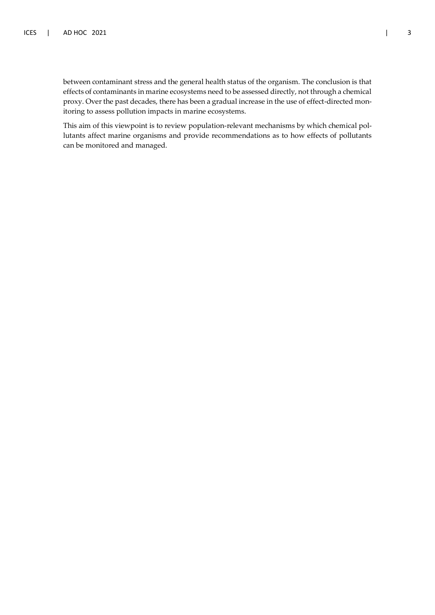between contaminant stress and the general health status of the organism. The conclusion is that effects of contaminants in marine ecosystems need to be assessed directly, not through a chemical proxy. Over the past decades, there has been a gradual increase in the use of effect-directed monitoring to assess pollution impacts in marine ecosystems.

This aim of this viewpoint is to review population-relevant mechanisms by which chemical pollutants affect marine organisms and provide recommendations as to how effects of pollutants can be monitored and managed.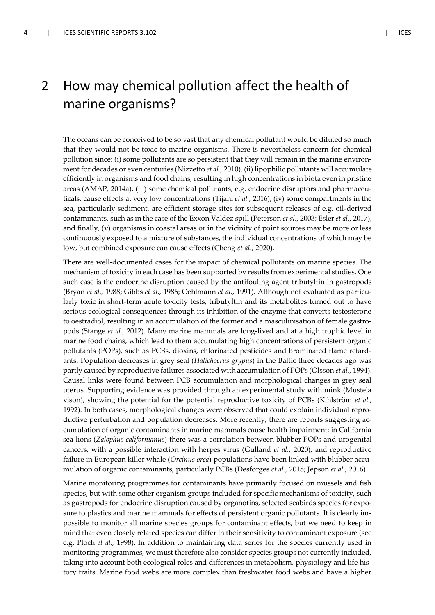### 2 How may chemical pollution affect the health of marine organisms?

The oceans can be conceived to be so vast that any chemical pollutant would be diluted so much that they would not be toxic to marine organisms. There is nevertheless concern for chemical pollution since: (i) some pollutants are so persistent that they will remain in the marine environment for decades or even centuries (Nizzetto *et al.,* 2010), (ii) lipophilic pollutants will accumulate efficiently in organisms and food chains, resulting in high concentrations in biota even in pristine areas (AMAP, 2014a), (iii) some chemical pollutants, e.g. endocrine disruptors and pharmaceuticals, cause effects at very low concentrations (Tijani *et al.,* 2016), (iv) some compartments in the sea, particularly sediment, are efficient storage sites for subsequent releases of e.g. oil-derived contaminants, such as in the case of the Exxon Valdez spill (Peterson *et al.,* 2003; Esler *et al.,* 2017), and finally, (v) organisms in coastal areas or in the vicinity of point sources may be more or less continuously exposed to a mixture of substances, the individual concentrations of which may be low, but combined exposure can cause effects (Cheng *et al.,* 2020).

There are well-documented cases for the impact of chemical pollutants on marine species. The mechanism of toxicity in each case has been supported by results from experimental studies. One such case is the endocrine disruption caused by the antifouling agent tributyltin in gastropods (Bryan *et al.,* 1988; Gibbs *et al.,* 1986; Oehlmann *et al.,* 1991). Although not evaluated as particularly toxic in short-term acute toxicity tests, tributyltin and its metabolites turned out to have serious ecological consequences through its inhibition of the enzyme that converts testosterone to oestradiol, resulting in an accumulation of the former and a masculinisation of female gastropods (Stange *et al.,* 2012). Many marine mammals are long-lived and at a high trophic level in marine food chains, which lead to them accumulating high concentrations of persistent organic pollutants (POPs), such as PCBs, dioxins, chlorinated pesticides and brominated flame retardants. Population decreases in grey seal (*Halichoerus grypus*) in the Baltic three decades ago was partly caused by reproductive failures associated with accumulation of POPs (Olsson *et al.,* 1994). Causal links were found between PCB accumulation and morphological changes in grey seal uterus. Supporting evidence was provided through an experimental study with mink (Mustela vison), showing the potential for the potential reproductive toxicity of PCBs (Kihlström *et al.,* 1992). In both cases, morphological changes were observed that could explain individual reproductive perturbation and population decreases. More recently, there are reports suggesting accumulation of organic contaminants in marine mammals cause health impairment: in California sea lions (*Zalophus californianus*) there was a correlation between blubber POPs and urogenital cancers, with a possible interaction with herpes virus (Gulland *et al.,* 2020), and reproductive failure in European killer whale (*Orcinus orca*) populations have been linked with blubber accumulation of organic contaminants, particularly PCBs (Desforges *et al.,* 2018; Jepson *et al.*, 2016).

Marine monitoring programmes for contaminants have primarily focused on mussels and fish species, but with some other organism groups included for specific mechanisms of toxicity, such as gastropods for endocrine disruption caused by organotins, selected seabirds species for exposure to plastics and marine mammals for effects of persistent organic pollutants. It is clearly impossible to monitor all marine species groups for contaminant effects, but we need to keep in mind that even closely related species can differ in their sensitivity to contaminant exposure (see e.g. Ploch *et al.,* 1998). In addition to maintaining data series for the species currently used in monitoring programmes, we must therefore also consider species groups not currently included, taking into account both ecological roles and differences in metabolism, physiology and life history traits. Marine food webs are more complex than freshwater food webs and have a higher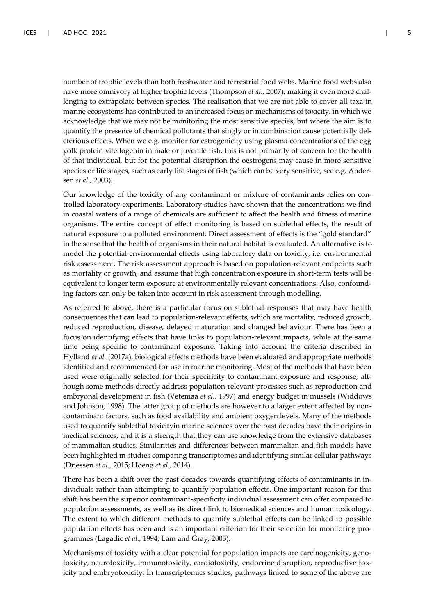number of trophic levels than both freshwater and terrestrial food webs. Marine food webs also have more omnivory at higher trophic levels (Thompson *et al.,* 2007), making it even more challenging to extrapolate between species. The realisation that we are not able to cover all taxa in marine ecosystems has contributed to an increased focus on mechanisms of toxicity, in which we acknowledge that we may not be monitoring the most sensitive species, but where the aim is to quantify the presence of chemical pollutants that singly or in combination cause potentially deleterious effects. When we e.g. monitor for estrogenicity using plasma concentrations of the egg yolk protein vitellogenin in male or juvenile fish, this is not primarily of concern for the health of that individual, but for the potential disruption the oestrogens may cause in more sensitive species or life stages, such as early life stages of fish (which can be very sensitive, see e.g. Andersen *et al.,* 2003).

Our knowledge of the toxicity of any contaminant or mixture of contaminants relies on controlled laboratory experiments. Laboratory studies have shown that the concentrations we find in coastal waters of a range of chemicals are sufficient to affect the health and fitness of marine organisms. The entire concept of effect monitoring is based on sublethal effects, the result of natural exposure to a polluted environment. Direct assessment of effects is the "gold standard" in the sense that the health of organisms in their natural habitat is evaluated. An alternative is to model the potential environmental effects using laboratory data on toxicity, i.e. environmental risk assessment. The risk assessment approach is based on population-relevant endpoints such as mortality or growth, and assume that high concentration exposure in short-term tests will be equivalent to longer term exposure at environmentally relevant concentrations. Also, confounding factors can only be taken into account in risk assessment through modelling.

As referred to above, there is a particular focus on sublethal responses that may have health consequences that can lead to population-relevant effects, which are mortality, reduced growth, reduced reproduction, disease, delayed maturation and changed behaviour. There has been a focus on identifying effects that have links to population-relevant impacts, while at the same time being specific to contaminant exposure. Taking into account the criteria described in Hylland *et al.* (2017a), biological effects methods have been evaluated and appropriate methods identified and recommended for use in marine monitoring. Most of the methods that have been used were originally selected for their specificity to contaminant exposure and response, although some methods directly address population-relevant processes such as reproduction and embryonal development in fish (Vetemaa *et al.*, 1997) and energy budget in mussels (Widdows and Johnson, 1998). The latter group of methods are however to a larger extent affected by noncontaminant factors, such as food availability and ambient oxygen levels. Many of the methods used to quantify sublethal toxicityin marine sciences over the past decades have their origins in medical sciences, and it is a strength that they can use knowledge from the extensive databases of mammalian studies. Similarities and differences between mammalian and fish models have been highlighted in studies comparing transcriptomes and identifying similar cellular pathways (Driessen *et al.,* 2015; Hoeng *et al.,* 2014).

There has been a shift over the past decades towards quantifying effects of contaminants in individuals rather than attempting to quantify population effects. One important reason for this shift has been the superior contaminant-specificity individual assessment can offer compared to population assessments, as well as its direct link to biomedical sciences and human toxicology. The extent to which different methods to quantify sublethal effects can be linked to possible population effects has been and is an important criterion for their selection for monitoring programmes (Lagadic *et al.,* 1994; Lam and Gray, 2003).

Mechanisms of toxicity with a clear potential for population impacts are carcinogenicity, genotoxicity, neurotoxicity, immunotoxicity, cardiotoxicity, endocrine disruption, reproductive toxicity and embryotoxicity. In transcriptomics studies, pathways linked to some of the above are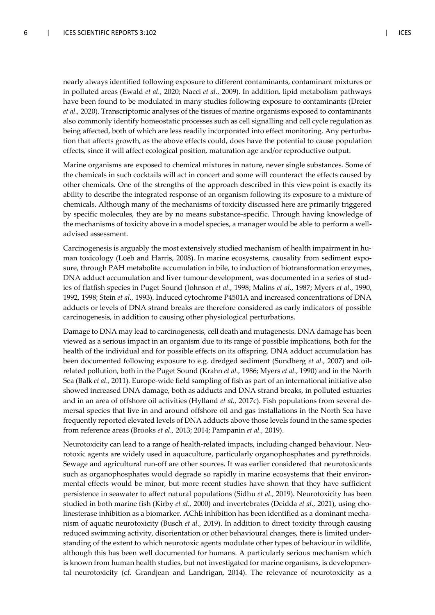nearly always identified following exposure to different contaminants, contaminant mixtures or in polluted areas (Ewald *et al.,* 2020; Nacci *et al.,* 2009). In addition, lipid metabolism pathways have been found to be modulated in many studies following exposure to contaminants (Dreier *et al.,* 2020). Transcriptomic analyses of the tissues of marine organisms exposed to contaminants also commonly identify homeostatic processes such as cell signalling and cell cycle regulation as being affected, both of which are less readily incorporated into effect monitoring. Any perturbation that affects growth, as the above effects could, does have the potential to cause population effects, since it will affect ecological position, maturation age and/or reproductive output.

Marine organisms are exposed to chemical mixtures in nature, never single substances. Some of the chemicals in such cocktails will act in concert and some will counteract the effects caused by other chemicals. One of the strengths of the approach described in this viewpoint is exactly its ability to describe the integrated response of an organism following its exposure to a mixture of chemicals. Although many of the mechanisms of toxicity discussed here are primarily triggered by specific molecules, they are by no means substance-specific. Through having knowledge of the mechanisms of toxicity above in a model species, a manager would be able to perform a welladvised assessment.

Carcinogenesis is arguably the most extensively studied mechanism of health impairment in human toxicology (Loeb and Harris, 2008). In marine ecosystems, causality from sediment exposure, through PAH metabolite accumulation in bile, to induction of biotransformation enzymes, DNA adduct accumulation and liver tumour development, was documented in a series of studies of flatfish species in Puget Sound (Johnson *et al.*, 1998; Malins *et al*., 1987; Myers *et al*., 1990, 1992, 1998; Stein *et al.,* 1993). Induced cytochrome P4501A and increased concentrations of DNA adducts or levels of DNA strand breaks are therefore considered as early indicators of possible carcinogenesis, in addition to causing other physiological perturbations.

Damage to DNA may lead to carcinogenesis, cell death and mutagenesis. DNA damage has been viewed as a serious impact in an organism due to its range of possible implications, both for the health of the individual and for possible effects on its offspring. DNA adduct accumulation has been documented following exposure to e.g. dredged sediment (Sundberg *et al.,* 2007) and oilrelated pollution, both in the Puget Sound (Krahn *et al.,* 1986; Myers *et al.,* 1990) and in the North Sea (Balk *et al.,* 2011). Europe-wide field sampling of fish as part of an international initiative also showed increased DNA damage, both as adducts and DNA strand breaks, in polluted estuaries and in an area of offshore oil activities (Hylland *et al.,* 2017c). Fish populations from several demersal species that live in and around offshore oil and gas installations in the North Sea have frequently reported elevated levels of DNA adducts above those levels found in the same species from reference areas (Brooks *et al.,* 2013; 2014; Pampanin *et al.,* 2019).

Neurotoxicity can lead to a range of health-related impacts, including changed behaviour. Neurotoxic agents are widely used in aquaculture, particularly organophosphates and pyrethroids. Sewage and agricultural run-off are other sources. It was earlier considered that neurotoxicants such as organophosphates would degrade so rapidly in marine ecosystems that their environmental effects would be minor, but more recent studies have shown that they have sufficient persistence in seawater to affect natural populations (Sidhu *et al.,* 2019). Neurotoxicity has been studied in both marine fish (Kirby *et al.,* 2000) and invertebrates (Deidda *et al.,* 2021), using cholinesterase inhibition as a biomarker. AChE inhibition has been identified as a dominant mechanism of aquatic neurotoxicity (Busch *et al.,* 2019). In addition to direct toxicity through causing reduced swimming activity, disorientation or other behavioural changes, there is limited understanding of the extent to which neurotoxic agents modulate other types of behaviour in wildlife, although this has been well documented for humans. A particularly serious mechanism which is known from human health studies, but not investigated for marine organisms, is developmental neurotoxicity (cf. Grandjean and Landrigan, 2014). The relevance of neurotoxicity as a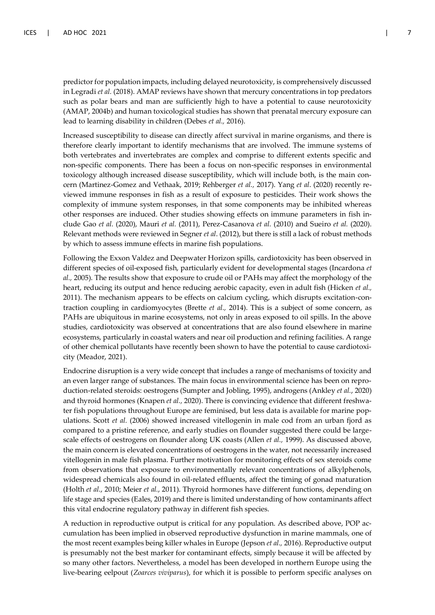predictor for population impacts, including delayed neurotoxicity, is comprehensively discussed in Legradi *et al.* (2018). AMAP reviews have shown that mercury concentrations in top predators such as polar bears and man are sufficiently high to have a potential to cause neurotoxicity (AMAP, 2004b) and human toxicological studies has shown that prenatal mercury exposure can lead to learning disability in children (Debes *et al.,* 2016).

Increased susceptibility to disease can directly affect survival in marine organisms, and there is therefore clearly important to identify mechanisms that are involved. The immune systems of both vertebrates and invertebrates are complex and comprise to different extents specific and non-specific components. There has been a focus on non-specific responses in environmental toxicology although increased disease susceptibility, which will include both, is the main concern (Martinez-Gomez and Vethaak, 2019; Rehberger *et al.,* 2017). Yang *et al*. (2020) recently reviewed immune responses in fish as a result of exposure to pesticides. Their work shows the complexity of immune system responses, in that some components may be inhibited whereas other responses are induced. Other studies showing effects on immune parameters in fish include Gao *et al.* (2020), Mauri *et al.* (2011), Perez-Casanova *et al.* (2010) and Sueiro *et al.* (2020). Relevant methods were reviewed in Segner *et al*. (2012), but there is still a lack of robust methods by which to assess immune effects in marine fish populations.

Following the Exxon Valdez and Deepwater Horizon spills, cardiotoxicity has been observed in different species of oil-exposed fish, particularly evident for developmental stages (Incardona *et al.,* 2005). The results show that exposure to crude oil or PAHs may affect the morphology of the heart, reducing its output and hence reducing aerobic capacity, even in adult fish (Hicken *et al.,* 2011). The mechanism appears to be effects on calcium cycling, which disrupts excitation-contraction coupling in cardiomyocytes (Brette *et al.,* 2014). This is a subject of some concern, as PAHs are ubiquitous in marine ecosystems, not only in areas exposed to oil spills. In the above studies, cardiotoxicity was observed at concentrations that are also found elsewhere in marine ecosystems, particularly in coastal waters and near oil production and refining facilities. A range of other chemical pollutants have recently been shown to have the potential to cause cardiotoxicity (Meador, 2021).

Endocrine disruption is a very wide concept that includes a range of mechanisms of toxicity and an even larger range of substances. The main focus in environmental science has been on reproduction-related steroids: oestrogens (Sumpter and Jobling, 1995), androgens (Ankley *et al.*, 2020) and thyroid hormones (Knapen *et al.,* 2020). There is convincing evidence that different freshwater fish populations throughout Europe are feminised, but less data is available for marine populations. Scott *et al.* (2006) showed increased vitellogenin in male cod from an urban fjord as compared to a pristine reference, and early studies on flounder suggested there could be largescale effects of oestrogens on flounder along UK coasts (Allen *et al.,* 1999). As discussed above, the main concern is elevated concentrations of oestrogens in the water, not necessarily increased vitellogenin in male fish plasma. Further motivation for monitoring effects of sex steroids come from observations that exposure to environmentally relevant concentrations of alkylphenols, widespread chemicals also found in oil-related effluents, affect the timing of gonad maturation (Holth *et al.*, 2010; Meier *et al.*, 2011). Thyroid hormones have different functions, depending on life stage and species (Eales, 2019) and there is limited understanding of how contaminants affect this vital endocrine regulatory pathway in different fish species.

A reduction in reproductive output is critical for any population. As described above, POP accumulation has been implied in observed reproductive dysfunction in marine mammals, one of the most recent examples being killer whales in Europe (Jepson *et al.,* 2016). Reproductive output is presumably not the best marker for contaminant effects, simply because it will be affected by so many other factors. Nevertheless, a model has been developed in northern Europe using the live-bearing eelpout (*Zoarces viviparus*), for which it is possible to perform specific analyses on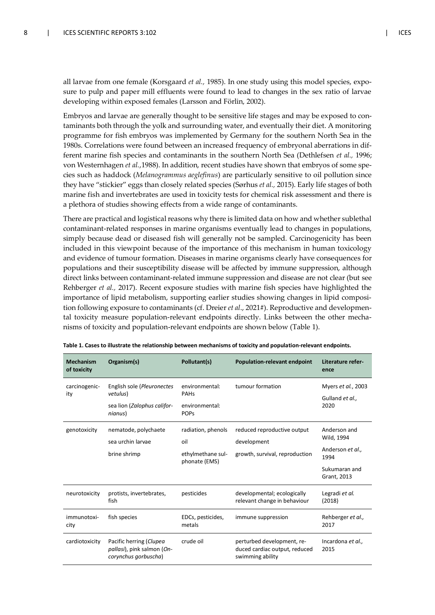all larvae from one female (Korsgaard *et al.,* 1985). In one study using this model species, exposure to pulp and paper mill effluents were found to lead to changes in the sex ratio of larvae developing within exposed females (Larsson and Förlin, 2002).

Embryos and larvae are generally thought to be sensitive life stages and may be exposed to contaminants both through the yolk and surrounding water, and eventually their diet. A monitoring programme for fish embryos was implemented by Germany for the southern North Sea in the 1980s. Correlations were found between an increased frequency of embryonal aberrations in different marine fish species and contaminants in the southern North Sea (Dethlefsen *et al.,* 1996; von Westernhagen *et al.*,1988). In addition, recent studies have shown that embryos of some species such as haddock (*Melanogrammus aeglefinus*) are particularly sensitive to oil pollution since they have "stickier" eggs than closely related species (Sørhus *et al.,* 2015). Early life stages of both marine fish and invertebrates are used in toxicity tests for chemical risk assessment and there is a plethora of studies showing effects from a wide range of contaminants.

There are practical and logistical reasons why there is limited data on how and whether sublethal contaminant-related responses in marine organisms eventually lead to changes in populations, simply because dead or diseased fish will generally not be sampled. Carcinogenicity has been included in this viewpoint because of the importance of this mechanism in human toxicology and evidence of tumour formation. Diseases in marine organisms clearly have consequences for populations and their susceptibility disease will be affected by immune suppression, although direct links between contaminant-related immune suppression and disease are not clear (but see Rehberger *et al.,* 2017). Recent exposure studies with marine fish species have highlighted the importance of lipid metabolism, supporting earlier studies showing changes in lipid composition following exposure to contaminants (cf. Dreier *et al*., 2021#). Reproductive and developmental toxicity measure population-relevant endpoints directly. Links between the other mechanisms of toxicity and population-relevant endpoints are shown below (Table 1).

| <b>Mechanism</b><br>of toxicity | Organism(s)                                                                      | Pollutant(s)                                                    | <b>Population-relevant endpoint</b>                                             | Literature refer-<br>ence                                                              |
|---------------------------------|----------------------------------------------------------------------------------|-----------------------------------------------------------------|---------------------------------------------------------------------------------|----------------------------------------------------------------------------------------|
| carcinogenic-<br>ity            | English sole (Pleuronectes<br>vetulus)<br>sea lion (Zalophus califor-<br>nianus) | environmental:<br><b>PAHs</b><br>environmental:<br><b>POPS</b>  | tumour formation                                                                | Myers et al., 2003<br>Gulland et al.,<br>2020                                          |
| genotoxicity                    | nematode, polychaete<br>sea urchin larvae<br>brine shrimp                        | radiation, phenols<br>oil<br>ethylmethane sul-<br>phonate (EMS) | reduced reproductive output<br>development<br>growth, survival, reproduction    | Anderson and<br>Wild, 1994<br>Anderson et al.,<br>1994<br>Sukumaran and<br>Grant, 2013 |
| neurotoxicity                   | protists, invertebrates,<br>fish                                                 | pesticides                                                      | developmental; ecologically<br>relevant change in behaviour                     | Legradi et al.<br>(2018)                                                               |
| immunotoxi-<br>city             | fish species                                                                     | EDCs, pesticides,<br>metals                                     | immune suppression                                                              | Rehberger et al.,<br>2017                                                              |
| cardiotoxicity                  | Pacific herring (Clupea<br>pallasi), pink salmon (On-<br>corynchus gorbuscha)    | crude oil                                                       | perturbed development, re-<br>duced cardiac output, reduced<br>swimming ability | Incardona et al.,<br>2015                                                              |

**Table 1. Cases to illustrate the relationship between mechanisms of toxicity and population-relevant endpoints.**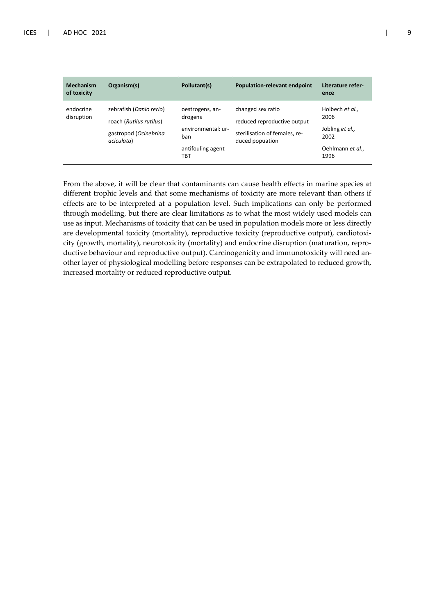| <b>Mechanism</b><br>of toxicity | Organism(s)                                                                               | Pollutant(s)                                                                        | <b>Population-relevant endpoint</b>                                                                  | Literature refer-<br>ence                                                      |
|---------------------------------|-------------------------------------------------------------------------------------------|-------------------------------------------------------------------------------------|------------------------------------------------------------------------------------------------------|--------------------------------------------------------------------------------|
| endocrine<br>disruption         | zebrafish (Danio rerio)<br>roach (Rutilus rutilus)<br>gastropod (Ocinebrina<br>aciculata) | oestrogens, an-<br>drogens<br>environmental: ur-<br>ban<br>antifouling agent<br>твт | changed sex ratio<br>reduced reproductive output<br>sterilisation of females, re-<br>duced popuation | Holbech et al.,<br>2006<br>Jobling et al.,<br>2002<br>Oehlmann et al.,<br>1996 |

From the above, it will be clear that contaminants can cause health effects in marine species at different trophic levels and that some mechanisms of toxicity are more relevant than others if effects are to be interpreted at a population level. Such implications can only be performed through modelling, but there are clear limitations as to what the most widely used models can use as input. Mechanisms of toxicity that can be used in population models more or less directly are developmental toxicity (mortality), reproductive toxicity (reproductive output), cardiotoxicity (growth, mortality), neurotoxicity (mortality) and endocrine disruption (maturation, reproductive behaviour and reproductive output). Carcinogenicity and immunotoxicity will need another layer of physiological modelling before responses can be extrapolated to reduced growth, increased mortality or reduced reproductive output.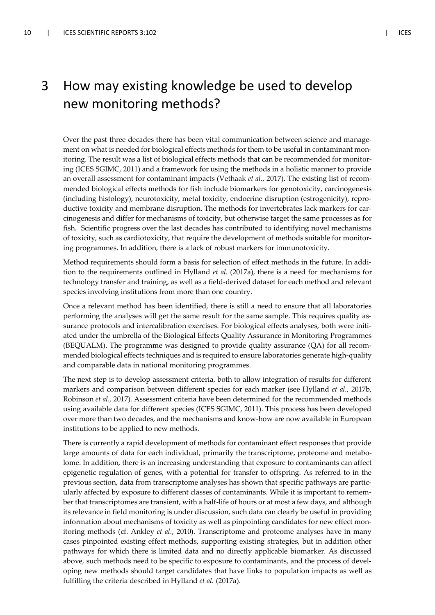### 3 How may existing knowledge be used to develop new monitoring methods?

Over the past three decades there has been vital communication between science and management on what is needed for biological effects methods for them to be useful in contaminant monitoring. The result was a list of biological effects methods that can be recommended for monitoring (ICES SGIMC, 2011) and a framework for using the methods in a holistic manner to provide an overall assessment for contaminant impacts (Vethaak *et al.*, 2017). The existing list of recommended biological effects methods for fish include biomarkers for genotoxicity, carcinogenesis (including histology), neurotoxicity, metal toxicity, endocrine disruption (estrogenicity), reproductive toxicity and membrane disruption. The methods for invertebrates lack markers for carcinogenesis and differ for mechanisms of toxicity, but otherwise target the same processes as for fish. Scientific progress over the last decades has contributed to identifying novel mechanisms of toxicity, such as cardiotoxicity, that require the development of methods suitable for monitoring programmes. In addition, there is a lack of robust markers for immunotoxicity.

Method requirements should form a basis for selection of effect methods in the future. In addition to the requirements outlined in Hylland *et al.* (2017a), there is a need for mechanisms for technology transfer and training, as well as a field-derived dataset for each method and relevant species involving institutions from more than one country.

Once a relevant method has been identified, there is still a need to ensure that all laboratories performing the analyses will get the same result for the same sample. This requires quality assurance protocols and intercalibration exercises. For biological effects analyses, both were initiated under the umbrella of the Biological Effects Quality Assurance in Monitoring Programmes (BEQUALM). The programme was designed to provide quality assurance (QA) for all recommended biological effects techniques and is required to ensure laboratories generate high-quality and comparable data in national monitoring programmes.

The next step is to develop assessment criteria, both to allow integration of results for different markers and comparison between different species for each marker (see Hylland *et al.,* 2017b, Robinson *et al.,* 2017). Assessment criteria have been determined for the recommended methods using available data for different species (ICES SGIMC, 2011). This process has been developed over more than two decades, and the mechanisms and know-how are now available in European institutions to be applied to new methods.

There is currently a rapid development of methods for contaminant effect responses that provide large amounts of data for each individual, primarily the transcriptome, proteome and metabolome. In addition, there is an increasing understanding that exposure to contaminants can affect epigenetic regulation of genes, with a potential for transfer to offspring. As referred to in the previous section, data from transcriptome analyses has shown that specific pathways are particularly affected by exposure to different classes of contaminants. While it is important to remember that transcriptomes are transient, with a half-life of hours or at most a few days, and although its relevance in field monitoring is under discussion, such data can clearly be useful in providing information about mechanisms of toxicity as well as pinpointing candidates for new effect monitoring methods (cf. Ankley *et al.*, 2010). Transcriptome and proteome analyses have in many cases pinpointed existing effect methods, supporting existing strategies, but in addition other pathways for which there is limited data and no directly applicable biomarker. As discussed above, such methods need to be specific to exposure to contaminants, and the process of developing new methods should target candidates that have links to population impacts as well as fulfilling the criteria described in Hylland *et al.* (2017a).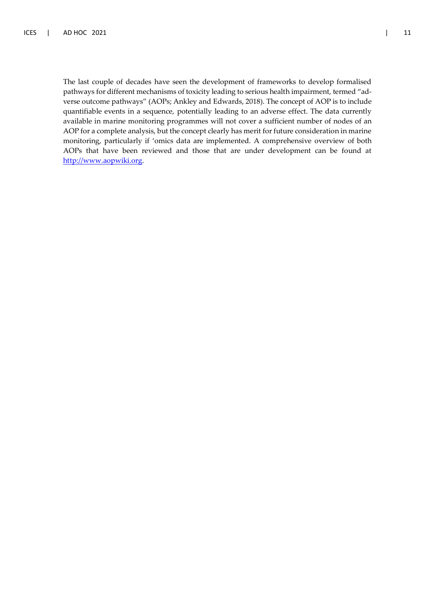The last couple of decades have seen the development of frameworks to develop formalised pathways for different mechanisms of toxicity leading to serious health impairment, termed "adverse outcome pathways" (AOPs; Ankley and Edwards, 2018). The concept of AOP is to include quantifiable events in a sequence, potentially leading to an adverse effect. The data currently available in marine monitoring programmes will not cover a sufficient number of nodes of an AOP for a complete analysis, but the concept clearly has merit for future consideration in marine monitoring, particularly if 'omics data are implemented. A comprehensive overview of both AOPs that have been reviewed and those that are under development can be found at [http://www.aopwiki.org.](http://www.aopwiki.org/)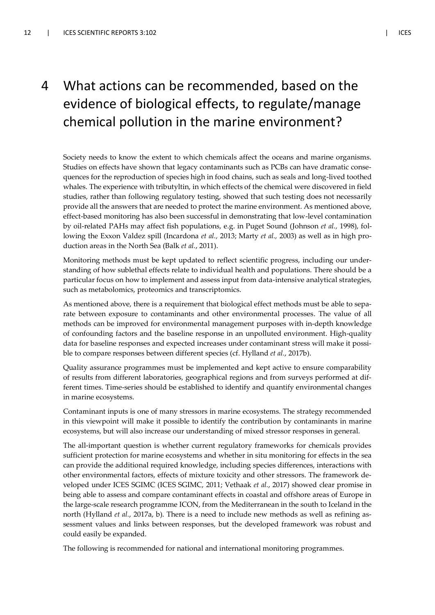## 4 What actions can be recommended, based on the evidence of biological effects, to regulate/manage chemical pollution in the marine environment?

Society needs to know the extent to which chemicals affect the oceans and marine organisms. Studies on effects have shown that legacy contaminants such as PCBs can have dramatic consequences for the reproduction of species high in food chains, such as seals and long-lived toothed whales. The experience with tributyltin, in which effects of the chemical were discovered in field studies, rather than following regulatory testing, showed that such testing does not necessarily provide all the answers that are needed to protect the marine environment. As mentioned above, effect-based monitoring has also been successful in demonstrating that low-level contamination by oil-related PAHs may affect fish populations, e.g. in Puget Sound (Johnson *et al.,* 1998), following the Exxon Valdez spill (Incardona *et al.,* 2013; Marty *et al.,* 2003) as well as in high production areas in the North Sea (Balk *et al.*, 2011).

Monitoring methods must be kept updated to reflect scientific progress, including our understanding of how sublethal effects relate to individual health and populations. There should be a particular focus on how to implement and assess input from data-intensive analytical strategies, such as metabolomics, proteomics and transcriptomics.

As mentioned above, there is a requirement that biological effect methods must be able to separate between exposure to contaminants and other environmental processes. The value of all methods can be improved for environmental management purposes with in-depth knowledge of confounding factors and the baseline response in an unpolluted environment. High-quality data for baseline responses and expected increases under contaminant stress will make it possible to compare responses between different species (cf. Hylland *et al.*, 2017b).

Quality assurance programmes must be implemented and kept active to ensure comparability of results from different laboratories, geographical regions and from surveys performed at different times. Time-series should be established to identify and quantify environmental changes in marine ecosystems.

Contaminant inputs is one of many stressors in marine ecosystems. The strategy recommended in this viewpoint will make it possible to identify the contribution by contaminants in marine ecosystems, but will also increase our understanding of mixed stressor responses in general.

The all-important question is whether current regulatory frameworks for chemicals provides sufficient protection for marine ecosystems and whether in situ monitoring for effects in the sea can provide the additional required knowledge, including species differences, interactions with other environmental factors, effects of mixture toxicity and other stressors. The framework developed under ICES SGIMC (ICES SGIMC, 2011; Vethaak *et al.*, 2017) showed clear promise in being able to assess and compare contaminant effects in coastal and offshore areas of Europe in the large-scale research programme ICON, from the Mediterranean in the south to Iceland in the north (Hylland *et al.*, 2017a, b). There is a need to include new methods as well as refining assessment values and links between responses, but the developed framework was robust and could easily be expanded.

The following is recommended for national and international monitoring programmes.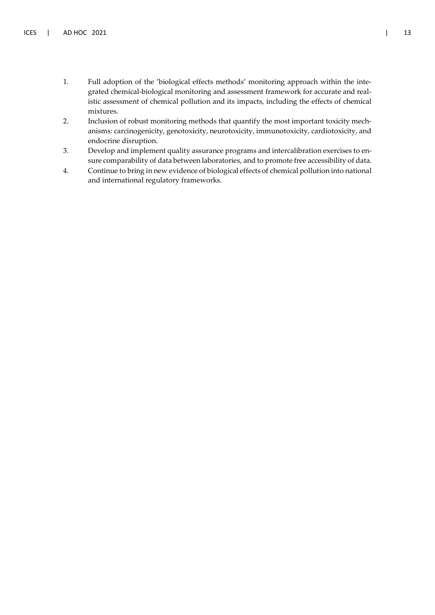- 1. Full adoption of the 'biological effects methods' monitoring approach within the integrated chemical-biological monitoring and assessment framework for accurate and realistic assessment of chemical pollution and its impacts, including the effects of chemical mixtures.
- 2. Inclusion of robust monitoring methods that quantify the most important toxicity mechanisms: carcinogenicity, genotoxicity, neurotoxicity, immunotoxicity, cardiotoxicity, and endocrine disruption.
- 3. Develop and implement quality assurance programs and intercalibration exercises to ensure comparability of data between laboratories, and to promote free accessibility of data.
- 4. Continue to bring in new evidence of biological effects of chemical pollution into national and international regulatory frameworks.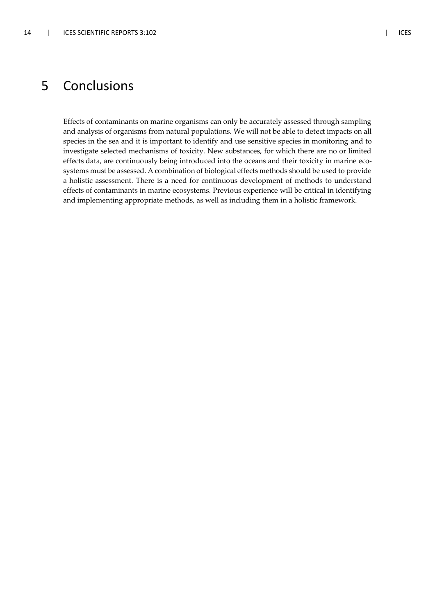### 5 Conclusions

Effects of contaminants on marine organisms can only be accurately assessed through sampling and analysis of organisms from natural populations. We will not be able to detect impacts on all species in the sea and it is important to identify and use sensitive species in monitoring and to investigate selected mechanisms of toxicity. New substances, for which there are no or limited effects data, are continuously being introduced into the oceans and their toxicity in marine ecosystems must be assessed. A combination of biological effects methods should be used to provide a holistic assessment. There is a need for continuous development of methods to understand effects of contaminants in marine ecosystems. Previous experience will be critical in identifying and implementing appropriate methods, as well as including them in a holistic framework.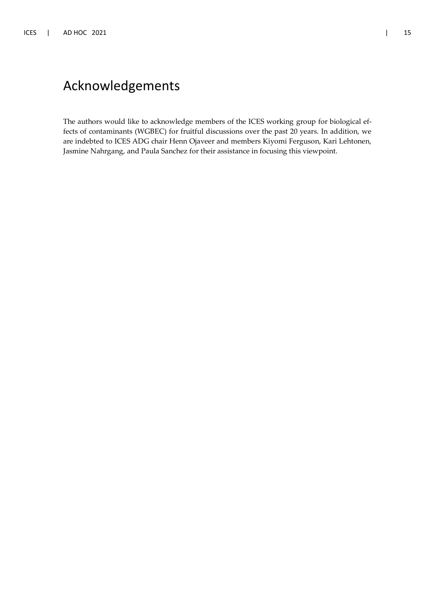### Acknowledgements

The authors would like to acknowledge members of the ICES working group for biological effects of contaminants (WGBEC) for fruitful discussions over the past 20 years. In addition, we are indebted to ICES ADG chair Henn Ojaveer and members Kiyomi Ferguson, Kari Lehtonen, Jasmine Nahrgang, and Paula Sanchez for their assistance in focusing this viewpoint.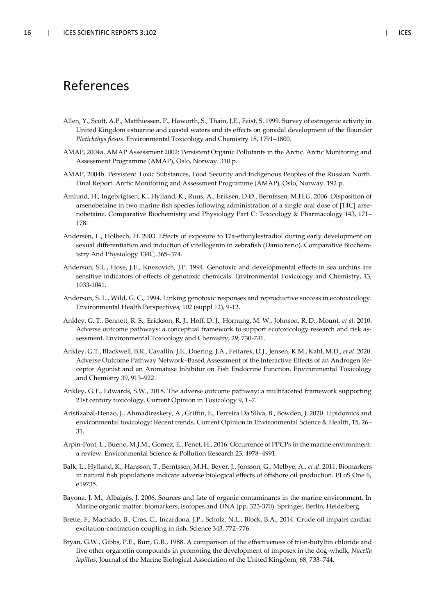### References

- Allen, Y., Scott, A.P., Matthiessen, P., Haworth, S., Thain, J.E., Feist, S. 1999. Survey of estrogenic activity in United Kingdom estuarine and coastal waters and its effects on gonadal development of the flounder *Platichthys flesus*. Environmental Toxicology and Chemistry 18, 1791–1800.
- AMAP, 2004a. AMAP Assessment 2002: Persistent Organic Pollutants in the Arctic. Arctic Monitoring and Assessment Programme (AMAP), Oslo, Norway. 310 p.
- AMAP, 2004b. Persistent Toxic Substances, Food Security and Indigenous Peoples of the Russian North. Final Report. Arctic Monitoring and Assessment Programme (AMAP), Oslo, Norway. 192 p.
- Amlund, H., Ingebrigtsen, K., Hylland, K., Ruus, A., Eriksen, D.Ø., Berntssen, M.H.G. 2006. Disposition of arsenobetaine in two marine fish species following administration of a single oral dose of [14C] arsenobetaine. Comparative Biochemistry and Physiology Part C: Toxicology & Pharmacology 143, 171– 178.
- Andersen, L., Holbech, H. 2003. Effects of exposure to 17a-ethinylestradiol during early development on sexual differentiation and induction of vitellogenin in zebrafish (Danio rerio). Comparative Biochemistry And Physiology 134C, 365–374.
- Anderson, S.L., Hose, J.E., Knezovich, J.P. 1994. Genotoxic and developmental effects in sea urchins are sensitive indicators of effects of genotoxic chemicals. Environmental Toxicology and Chemistry, 13, 1033-1041.
- Anderson, S. L., Wild, G. C., 1994. Linking genotoxic responses and reproductive success in ecotoxicology. Environmental Health Perspectives, 102 (suppl 12), 9-12.
- Ankley, G. T., Bennett, R. S., Erickson, R. J., Hoff, D. J., Hornung, M. W., Johnson, R. D., Mount, *et al.* 2010. Adverse outcome pathways: a conceptual framework to support ecotoxicology research and risk assessment. Environmental Toxicology and Chemistry, 29, 730-741.
- Ankley, G.T., Blackwell, B.R., Cavallin, J.E., Doering, J.A., Feifarek, D.J., Jensen, K.M., Kahl, M.D., *et al*. 2020. Adverse Outcome Pathway Network–Based Assessment of the Interactive Effects of an Androgen Receptor Agonist and an Aromatase Inhibitor on Fish Endocrine Function. Environmental Toxicology and Chemistry 39, 913–922.
- Ankley, G.T., Edwards, S.W., 2018. The adverse outcome pathway: a multifaceted framework supporting 21st century toxicology. Current Opinion in Toxicology 9, 1–7.
- Aristizabal-Henao, J., Ahmadireskety, A., Griffin, E., Ferreira Da Silva, B., Bowden, J. 2020. Lipidomics and environmental toxicology: Recent trends. Current Opinion in Environmental Science & Health, 15, 26– 31.
- Arpin-Pont, L., Bueno, M.J.M., Gomez, E., Fenet, H., 2016. Occurrence of PPCPs in the marine environment: a review. Environmental Science & Pollution Research 23, 4978–4991.
- Balk, L., Hylland, K., Hansson, T., Berntssen, M.H., Beyer, J., Jonsson, G., Melbye, A., *et al*. 2011. Biomarkers in natural fish populations indicate adverse biological effects of offshore oil production. PLoS One 6, e19735.
- Bayona, J. M., Albaigés, J. 2006. Sources and fate of organic contaminants in the marine environment. In Marine organic matter: biomarkers, isotopes and DNA (pp. 323-370). Springer, Berlin, Heidelberg.
- Brette, F., Machado, B., Cros, C., Incardona, J.P., Scholz, N.L., Block, B.A., 2014. Crude oil impairs cardiac excitation-contraction coupling in fish, Science 343, 772–776.
- Bryan, G.W., Gibbs, P.E., Burt, G.R., 1988. A comparison of the effectiveness of tri-n-butyltin chloride and five other organotin compounds in promoting the development of imposex in the dog-whelk, *Nucella lapillus*, Journal of the Marine Biological Association of the United Kingdom, 68, 733–744.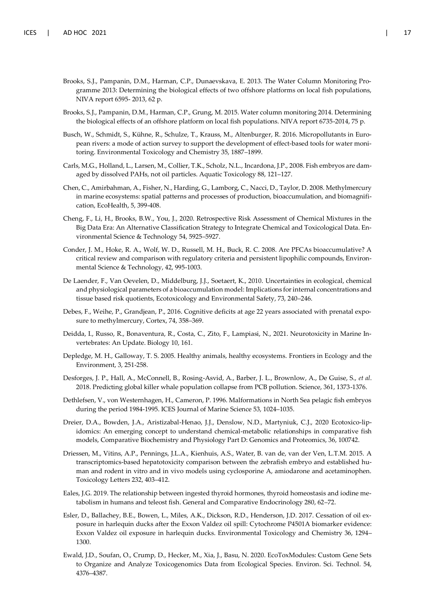- Brooks, S.J., Pampanin, D.M., Harman, C.P., Dunaevskava, E. 2013. The Water Column Monitoring Programme 2013: Determining the biological effects of two offshore platforms on local fish populations, NIVA report 6595- 2013, 62 p.
- Brooks, S.J., Pampanin, D.M., Harman, C.P., Grung, M. 2015. Water column monitoring 2014. Determining the biological effects of an offshore platform on local fish populations. NIVA report 6735-2014, 75 p.
- Busch, W., Schmidt, S., Kühne, R., Schulze, T., Krauss, M., Altenburger, R. 2016. Micropollutants in European rivers: a mode of action survey to support the development of effect-based tools for water monitoring. Environmental Toxicology and Chemistry 35, 1887–1899.
- Carls, M.G., Holland, L., Larsen, M., Collier, T.K., Scholz, N.L., Incardona, J.P., 2008. Fish embryos are damaged by dissolved PAHs, not oil particles. Aquatic Toxicology 88, 121–127.
- Chen, C., Amirbahman, A., Fisher, N., Harding, G., Lamborg, C., Nacci, D., Taylor, D. 2008. Methylmercury in marine ecosystems: spatial patterns and processes of production, bioaccumulation, and biomagnification, EcoHealth, 5, 399-408.
- Cheng, F., Li, H., Brooks, B.W., You, J., 2020. Retrospective Risk Assessment of Chemical Mixtures in the Big Data Era: An Alternative Classification Strategy to Integrate Chemical and Toxicological Data. Environmental Science & Technology 54, 5925–5927.
- Conder, J. M., Hoke, R. A., Wolf, W. D., Russell, M. H., Buck, R. C. 2008. Are PFCAs bioaccumulative? A critical review and comparison with regulatory criteria and persistent lipophilic compounds, Environmental Science & Technology, 42, 995-1003.
- De Laender, F., Van Oevelen, D., Middelburg, J.J., Soetaert, K., 2010. Uncertainties in ecological, chemical and physiological parameters of a bioaccumulation model: Implications for internal concentrations and tissue based risk quotients, Ecotoxicology and Environmental Safety, 73, 240–246.
- Debes, F., Weihe, P., Grandjean, P., 2016. Cognitive deficits at age 22 years associated with prenatal exposure to methylmercury, Cortex, 74, 358–369.
- Deidda, I., Russo, R., Bonaventura, R., Costa, C., Zito, F., Lampiasi, N., 2021. Neurotoxicity in Marine Invertebrates: An Update. Biology 10, 161.
- Depledge, M. H., Galloway, T. S. 2005. Healthy animals, healthy ecosystems. Frontiers in Ecology and the Environment, 3, 251-258.
- Desforges, J. P., Hall, A., McConnell, B., Rosing-Asvid, A., Barber, J. L., Brownlow, A., De Guise, S., *et al*. 2018. Predicting global killer whale population collapse from PCB pollution. Science, 361, 1373-1376.
- Dethlefsen, V., von Westernhagen, H., Cameron, P. 1996. Malformations in North Sea pelagic fish embryos during the period 1984-1995. ICES Journal of Marine Science 53, 1024–1035.
- Dreier, D.A., Bowden, J.A., Aristizabal-Henao, J.J., Denslow, N.D., Martyniuk, C.J., 2020 Ecotoxico-lipidomics: An emerging concept to understand chemical-metabolic relationships in comparative fish models, Comparative Biochemistry and Physiology Part D: Genomics and Proteomics, 36, 100742.
- Driessen, M., Vitins, A.P., Pennings, J.L.A., Kienhuis, A.S., Water, B. van de, van der Ven, L.T.M. 2015. A transcriptomics-based hepatotoxicity comparison between the zebrafish embryo and established human and rodent in vitro and in vivo models using cyclosporine A, amiodarone and acetaminophen. Toxicology Letters 232, 403–412.
- Eales, J.G. 2019. The relationship between ingested thyroid hormones, thyroid homeostasis and iodine metabolism in humans and teleost fish. General and Comparative Endocrinology 280, 62–72.
- Esler, D., Ballachey, B.E., Bowen, L., Miles, A.K., Dickson, R.D., Henderson, J.D. 2017. Cessation of oil exposure in harlequin ducks after the Exxon Valdez oil spill: Cytochrome P4501A biomarker evidence: Exxon Valdez oil exposure in harlequin ducks. Environmental Toxicology and Chemistry 36, 1294– 1300.
- Ewald, J.D., Soufan, O., Crump, D., Hecker, M., Xia, J., Basu, N. 2020. EcoToxModules: Custom Gene Sets to Organize and Analyze Toxicogenomics Data from Ecological Species. Environ. Sci. Technol. 54, 4376–4387.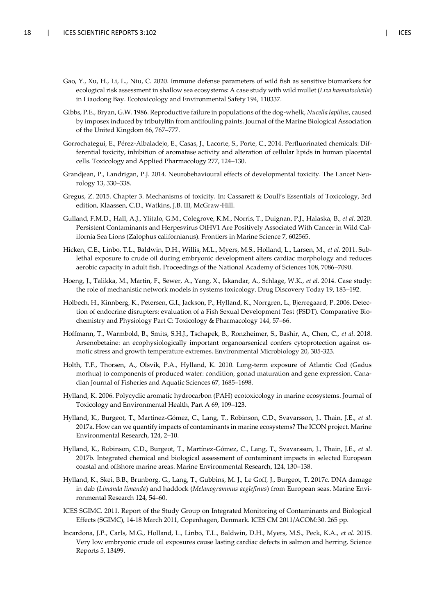- Gao, Y., Xu, H., Li, L., Niu, C. 2020. Immune defense parameters of wild fish as sensitive biomarkers for ecological risk assessment in shallow sea ecosystems: A case study with wild mullet (*Liza haematocheila*) in Liaodong Bay. Ecotoxicology and Environmental Safety 194, 110337.
- Gibbs, P.E., Bryan, G.W. 1986. Reproductive failure in populations of the dog-whelk, *Nucella lapillus*, caused by imposex induced by tributyltin from antifouling paints. Journal of the Marine Biological Association of the United Kingdom 66, 767–777.
- Gorrochategui, E., Pérez-Albaladejo, E., Casas, J., Lacorte, S., Porte, C., 2014. Perfluorinated chemicals: Differential toxicity, inhibition of aromatase activity and alteration of cellular lipids in human placental cells. Toxicology and Applied Pharmacology 277, 124–130.
- Grandjean, P., Landrigan, P.J. 2014. Neurobehavioural effects of developmental toxicity. The Lancet Neurology 13, 330–338.
- Gregus, Z. 2015. Chapter 3. Mechanisms of toxicity. In: Cassarett & Doull's Essentials of Toxicology, 3rd edition, Klaassen, C.D., Watkins, J.B. III, McGraw-Hill.
- Gulland, F.M.D., Hall, A.J., Ylitalo, G.M., Colegrove, K.M., Norris, T., Duignan, P.J., Halaska, B., *et al*. 2020. Persistent Contaminants and Herpesvirus OtHV1 Are Positively Associated With Cancer in Wild California Sea Lions (Zalophus californianus). Frontiers in Marine Science 7, 602565.
- Hicken, C.E., Linbo, T.L., Baldwin, D.H., Willis, M.L., Myers, M.S., Holland, L., Larsen, M., *et al.* 2011. Sublethal exposure to crude oil during embryonic development alters cardiac morphology and reduces aerobic capacity in adult fish. Proceedings of the National Academy of Sciences 108, 7086–7090.
- Hoeng, J., Talikka, M., Martin, F., Sewer, A., Yang, X., Iskandar, A., Schlage, W.K., *et al*. 2014. Case study: the role of mechanistic network models in systems toxicology. Drug Discovery Today 19, 183–192.
- Holbech, H., Kinnberg, K., Petersen, G.I., Jackson, P., Hylland, K., Norrgren, L., Bjerregaard, P. 2006. Detection of endocrine disrupters: evaluation of a Fish Sexual Development Test (FSDT). Comparative Biochemistry and Physiology Part C: Toxicology & Pharmacology 144, 57–66.
- Hoffmann, T., Warmbold, B., Smits, S.H.J., Tschapek, B., Ronzheimer, S., Bashir, A., Chen, C., *et al*. 2018. Arsenobetaine: an ecophysiologically important organoarsenical confers cytoprotection against osmotic stress and growth temperature extremes. Environmental Microbiology 20, 305-323.
- Holth, T.F., Thorsen, A., Olsvik, P.A., Hylland, K. 2010. Long-term exposure of Atlantic Cod (Gadus morhua) to components of produced water: condition, gonad maturation and gene expression. Canadian Journal of Fisheries and Aquatic Sciences 67, 1685–1698.
- Hylland, K. 2006. Polycyclic aromatic hydrocarbon (PAH) ecotoxicology in marine ecosystems. Journal of Toxicology and Environmental Health, Part A 69, 109–123.
- Hylland, K., Burgeot, T., Martínez-Gómez, C., Lang, T., Robinson, C.D., Svavarsson, J., Thain, J.E., *et al*. 2017a. How can we quantify impacts of contaminants in marine ecosystems? The ICON project. Marine Environmental Research, 124, 2–10.
- Hylland, K., Robinson, C.D., Burgeot, T., Martínez-Gómez, C., Lang, T., Svavarsson, J., Thain, J.E., *et al*. 2017b. Integrated chemical and biological assessment of contaminant impacts in selected European coastal and offshore marine areas. Marine Environmental Research, 124, 130–138.
- Hylland, K., Skei, B.B., Brunborg, G., Lang, T., Gubbins, M. J., Le Goff, J., Burgeot, T. 2017c. DNA damage in dab (*Limanda limanda*) and haddock (*Melanogrammus aeglefinus*) from European seas. Marine Environmental Research 124, 54–60.
- ICES SGIMC. 2011. Report of the Study Group on Integrated Monitoring of Contaminants and Biological Effects (SGIMC), 14-18 March 2011, Copenhagen, Denmark. ICES CM 2011/ACOM:30. 265 pp.
- Incardona, J.P., Carls, M.G., Holland, L., Linbo, T.L., Baldwin, D.H., Myers, M.S., Peck, K.A., *et al*. 2015. Very low embryonic crude oil exposures cause lasting cardiac defects in salmon and herring. Science Reports 5, 13499.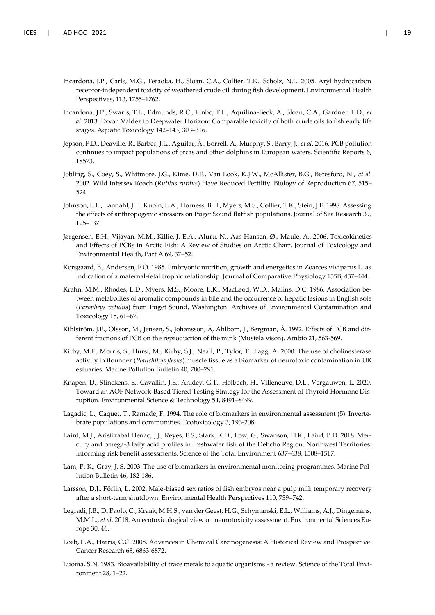- Incardona, J.P., Carls, M.G., Teraoka, H., Sloan, C.A., Collier, T.K., Scholz, N.L. 2005. Aryl hydrocarbon receptor-independent toxicity of weathered crude oil during fish development. Environmental Health Perspectives, 113, 1755–1762.
- Incardona, J.P., Swarts, T.L., Edmunds, R.C., Linbo, T.L., Aquilina-Beck, A., Sloan, C.A., Gardner, L.D., *et al*. 2013. Exxon Valdez to Deepwater Horizon: Comparable toxicity of both crude oils to fish early life stages. Aquatic Toxicology 142–143, 303–316.
- Jepson, P.D., Deaville, R., Barber, J.L., Aguilar, À., Borrell, A., Murphy, S., Barry, J., *et al*. 2016. PCB pollution continues to impact populations of orcas and other dolphins in European waters. Scientific Reports 6, 18573.
- Jobling, S., Coey, S., Whitmore, J.G., Kime, D.E., Van Look, K.J.W., McAllister, B.G., Beresford, N., *et al.* 2002. Wild Intersex Roach (*Rutilus rutilus*) Have Reduced Fertility. Biology of Reproduction 67, 515– 524.
- Johnson, L.L., Landahl, J.T., Kubin, L.A., Horness, B.H., Myers, M.S., Collier, T.K., Stein, J.E. 1998. Assessing the effects of anthropogenic stressors on Puget Sound flatfish populations. Journal of Sea Research 39, 125–137.
- Jørgensen, E.H., Vijayan, M.M., Killie, J.-E.A., Aluru, N., Aas-Hansen, Ø., Maule, A., 2006. Toxicokinetics and Effects of PCBs in Arctic Fish: A Review of Studies on Arctic Charr. Journal of Toxicology and Environmental Health, Part A 69, 37–52.
- Korsgaard, B., Andersen, F.O. 1985. Embryonic nutrition, growth and energetics in Zoarces viviparus L. as indication of a maternal-fetal trophic relationship. Journal of Comparative Physiology 155B, 437–444.
- Krahn, M.M., Rhodes, L.D., Myers, M.S., Moore, L.K., MacLeod, W.D., Malins, D.C. 1986. Association between metabolites of aromatic compounds in bile and the occurrence of hepatic lesions in English sole (*Parophrys vetulus*) from Puget Sound, Washington. Archives of Environmental Contamination and Toxicology 15, 61–67.
- Kihlström, J.E., Olsson, M., Jensen, S., Johansson, Å, Ahlbom, J., Bergman, Å. 1992. Effects of PCB and different fractions of PCB on the reproduction of the mink (Mustela vison). Ambio 21, 563-569.
- Kirby, M.F., Morris, S., Hurst, M., Kirby, S.J., Neall, P., Tylor, T., Fagg, A. 2000. The use of cholinesterase activity in flounder (*Platichthys flesus*) muscle tissue as a biomarker of neurotoxic contamination in UK estuaries. Marine Pollution Bulletin 40, 780–791.
- Knapen, D., Stinckens, E., Cavallin, J.E., Ankley, G.T., Holbech, H., Villeneuve, D.L., Vergauwen, L. 2020. Toward an AOP Network-Based Tiered Testing Strategy for the Assessment of Thyroid Hormone Disruption. Environmental Science & Technology 54, 8491–8499.
- Lagadic, L., Caquet, T., Ramade, F. 1994. The role of biomarkers in environmental assessment (5). Invertebrate populations and communities. Ecotoxicology 3, 193-208.
- Laird, M.J., Aristizabal Henao, J.J., Reyes, E.S., Stark, K.D., Low, G., Swanson, H.K., Laird, B.D. 2018. Mercury and omega-3 fatty acid profiles in freshwater fish of the Dehcho Region, Northwest Territories: informing risk benefit assessments. Science of the Total Environment 637–638, 1508–1517.
- Lam, P. K., Gray, J. S. 2003. The use of biomarkers in environmental monitoring programmes. Marine Pollution Bulletin 46, 182-186.
- Larsson, D.J., Förlin, L. 2002. Male-biased sex ratios of fish embryos near a pulp mill: temporary recovery after a short-term shutdown. Environmental Health Perspectives 110, 739–742.
- Legradi, J.B., Di Paolo, C., Kraak, M.H.S., van der Geest, H.G., Schymanski, E.L., Williams, A.J., Dingemans, M.M.L., *et al.* 2018. An ecotoxicological view on neurotoxicity assessment. Environmental Sciences Europe 30, 46.
- Loeb, L.A., Harris, C.C. 2008. Advances in Chemical Carcinogenesis: A Historical Review and Prospective. Cancer Research 68, 6863-6872.
- Luoma, S.N. 1983. Bioavailability of trace metals to aquatic organisms a review. Science of the Total Environment 28, 1–22.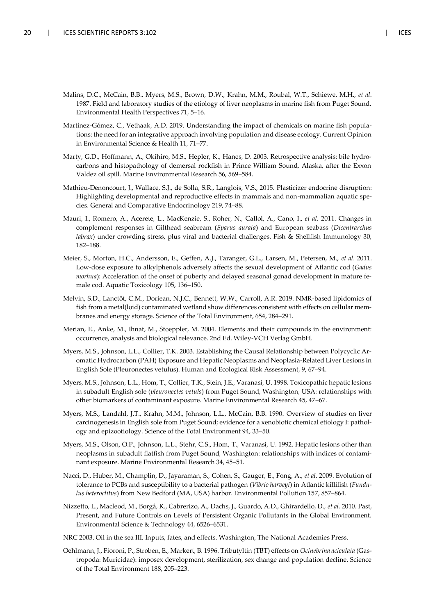- Malins, D.C., McCain, B.B., Myers, M.S., Brown, D.W., Krahn, M.M., Roubal, W.T., Schiewe, M.H., *et al*. 1987. Field and laboratory studies of the etiology of liver neoplasms in marine fish from Puget Sound. Environmental Health Perspectives 71, 5–16.
- Martínez-Gómez, C., Vethaak, A.D. 2019. Understanding the impact of chemicals on marine fish populations: the need for an integrative approach involving population and disease ecology. Current Opinion in Environmental Science & Health 11, 71–77.
- Marty, G.D., Hoffmann, A., Okihiro, M.S., Hepler, K., Hanes, D. 2003. Retrospective analysis: bile hydrocarbons and histopathology of demersal rockfish in Prince William Sound, Alaska, after the Exxon Valdez oil spill. Marine Environmental Research 56, 569–584.
- Mathieu-Denoncourt, J., Wallace, S.J., de Solla, S.R., Langlois, V.S., 2015. Plasticizer endocrine disruption: Highlighting developmental and reproductive effects in mammals and non-mammalian aquatic species. General and Comparative Endocrinology 219, 74–88.
- Mauri, I., Romero, A., Acerete, L., MacKenzie, S., Roher, N., Callol, A., Cano, I., *et al.* 2011. Changes in complement responses in Gilthead seabream (*Sparus aurata*) and European seabass (*Dicentrarchus labrax*) under crowding stress, plus viral and bacterial challenges. Fish & Shellfish Immunology 30, 182–188.
- Meier, S., Morton, H.C., Andersson, E., Geffen, A.J., Taranger, G.L., Larsen, M., Petersen, M., *et al.* 2011. Low-dose exposure to alkylphenols adversely affects the sexual development of Atlantic cod (*Gadus morhua*): Acceleration of the onset of puberty and delayed seasonal gonad development in mature female cod. Aquatic Toxicology 105, 136–150.
- Melvin, S.D., Lanctôt, C.M., Doriean, N.J.C., Bennett, W.W., Carroll, A.R. 2019. NMR-based lipidomics of fish from a metal(loid) contaminated wetland show differences consistent with effects on cellular membranes and energy storage. Science of the Total Environment, 654, 284–291.
- Merian, E., Anke, M., Ihnat, M., Stoeppler, M. 2004. Elements and their compounds in the environment: occurrence, analysis and biological relevance. 2nd Ed. Wiley-VCH Verlag GmbH.
- Myers, M.S., Johnson, L.L., Collier, T.K. 2003. Establishing the Causal Relationship between Polycyclic Aromatic Hydrocarbon (PAH) Exposure and Hepatic Neoplasms and Neoplasia-Related Liver Lesions in English Sole (Pleuronectes vetulus). Human and Ecological Risk Assessment, 9, 67–94.
- Myers, M.S., Johnson, L.L., Hom, T., Collier, T.K., Stein, J.E., Varanasi, U. 1998. Toxicopathic hepatic lesions in subadult English sole (*pleuronectes vetuls*) from Puget Sound, Washington, USA: relationships with other biomarkers of contaminant exposure. Marine Environmental Research 45, 47–67.
- Myers, M.S., Landahl, J.T., Krahn, M.M., Johnson, L.L., McCain, B.B. 1990. Overview of studies on liver carcinogenesis in English sole from Puget Sound; evidence for a xenobiotic chemical etiology I: pathology and epizootiology. Science of the Total Environment 94, 33–50.
- Myers, M.S., Olson, O.P., Johnson, L.L., Stehr, C.S., Hom, T., Varanasi, U. 1992. Hepatic lesions other than neoplasms in subadult flatfish from Puget Sound, Washington: relationships with indices of contaminant exposure. Marine Environmental Research 34, 45–51.
- Nacci, D., Huber, M., Champlin, D., Jayaraman, S., Cohen, S., Gauger, E., Fong, A., *et al*. 2009. Evolution of tolerance to PCBs and susceptibility to a bacterial pathogen (*Vibrio harveyi*) in Atlantic killifish (*Fundulus heteroclitus*) from New Bedford (MA, USA) harbor. Environmental Pollution 157, 857–864.
- Nizzetto, L., Macleod, M., Borgå, K., Cabrerizo, A., Dachs, J., Guardo, A.D., Ghirardello, D., *et al.* 2010. Past, Present, and Future Controls on Levels of Persistent Organic Pollutants in the Global Environment. Environmental Science & Technology 44, 6526–6531.
- NRC 2003. Oil in the sea III. Inputs, fates, and effects. Washington, The National Academies Press.
- Oehlmann, J., Fioroni, P., Stroben, E., Markert, B. 1996. Tributyltin (TBT) effects on *Ocinebrina aciculata* (Gastropoda: Muricidae): imposex development, sterilization, sex change and population decline. Science of the Total Environment 188, 205–223.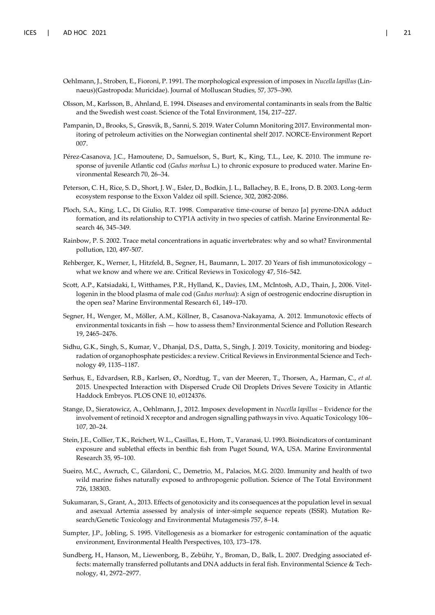- Oehlmann, J., Stroben, E., Fioroni, P. 1991. The morphological expression of imposex in *Nucella lapillus* (Linnaeus)(Gastropoda: Muricidae). Journal of Molluscan Studies, 57, 375–390.
- Olsson, M., Karlsson, B., Ahnland, E. 1994. Diseases and enviromental contaminants in seals from the Baltic and the Swedish west coast. Science of the Total Environment, 154, 217–227.
- Pampanin, D., Brooks, S., Grøsvik, B., Sanni, S. 2019. Water Column Monitoring 2017. Environmental monitoring of petroleum activities on the Norwegian continental shelf 2017. NORCE-Environment Report 007.
- Pérez-Casanova, J.C., Hamoutene, D., Samuelson, S., Burt, K., King, T.L., Lee, K. 2010. The immune response of juvenile Atlantic cod (*Gadus morhua* L.) to chronic exposure to produced water. Marine Environmental Research 70, 26–34.
- Peterson, C. H., Rice, S. D., Short, J. W., Esler, D., Bodkin, J. L., Ballachey, B. E., Irons, D. B. 2003. Long-term ecosystem response to the Exxon Valdez oil spill. Science, 302, 2082-2086.
- Ploch, S.A., King, L.C., Di Giulio, R.T. 1998. Comparative time-course of benzo [a] pyrene-DNA adduct formation, and its relationship to CYP1A activity in two species of catfish. Marine Environmental Research 46, 345–349.
- Rainbow, P. S. 2002. Trace metal concentrations in aquatic invertebrates: why and so what? Environmental pollution, 120, 497-507.
- Rehberger, K., Werner, I., Hitzfeld, B., Segner, H., Baumann, L. 2017. 20 Years of fish immunotoxicology what we know and where we are. Critical Reviews in Toxicology 47, 516–542.
- Scott, A.P., Katsiadaki, I., Witthames, P.R., Hylland, K., Davies, I.M., McIntosh, A.D., Thain, J., 2006. Vitellogenin in the blood plasma of male cod (*Gadus morhua*): A sign of oestrogenic endocrine disruption in the open sea? Marine Environmental Research 61, 149–170.
- Segner, H., Wenger, M., Möller, A.M., Köllner, B., Casanova-Nakayama, A. 2012. Immunotoxic effects of environmental toxicants in fish — how to assess them? Environmental Science and Pollution Research 19, 2465–2476.
- Sidhu, G.K., Singh, S., Kumar, V., Dhanjal, D.S., Datta, S., Singh, J. 2019. Toxicity, monitoring and biodegradation of organophosphate pesticides: a review. Critical Reviews in Environmental Science and Technology 49, 1135–1187.
- Sørhus, E., Edvardsen, R.B., Karlsen, Ø., Nordtug, T., van der Meeren, T., Thorsen, A., Harman, C., *et al*. 2015. Unexpected Interaction with Dispersed Crude Oil Droplets Drives Severe Toxicity in Atlantic Haddock Embryos. PLOS ONE 10, e0124376.
- Stange, D., Sieratowicz, A., Oehlmann, J., 2012. Imposex development in *Nucella lapillus* Evidence for the involvement of retinoid X receptor and androgen signalling pathways in vivo. Aquatic Toxicology 106– 107, 20–24.
- Stein, J.E., Collier, T.K., Reichert, W.L., Casillas, E., Hom, T., Varanasi, U. 1993. Bioindicators of contaminant exposure and sublethal effects in benthic fish from Puget Sound, WA, USA. Marine Environmental Research 35, 95–100.
- Sueiro, M.C., Awruch, C., Gilardoni, C., Demetrio, M., Palacios, M.G. 2020. Immunity and health of two wild marine fishes naturally exposed to anthropogenic pollution. Science of The Total Environment 726, 138303.
- Sukumaran, S., Grant, A., 2013. Effects of genotoxicity and its consequences at the population level in sexual and asexual Artemia assessed by analysis of inter-simple sequence repeats (ISSR). Mutation Research/Genetic Toxicology and Environmental Mutagenesis 757, 8–14.
- Sumpter, J.P., Jobling, S. 1995. Vitellogenesis as a biomarker for estrogenic contamination of the aquatic environment, Environmental Health Perspectives, 103, 173–178.
- Sundberg, H., Hanson, M., Liewenborg, B., Zebühr, Y., Broman, D., Balk, L. 2007. Dredging associated effects: maternally transferred pollutants and DNA adducts in feral fish. Environmental Science & Technology, 41, 2972–2977.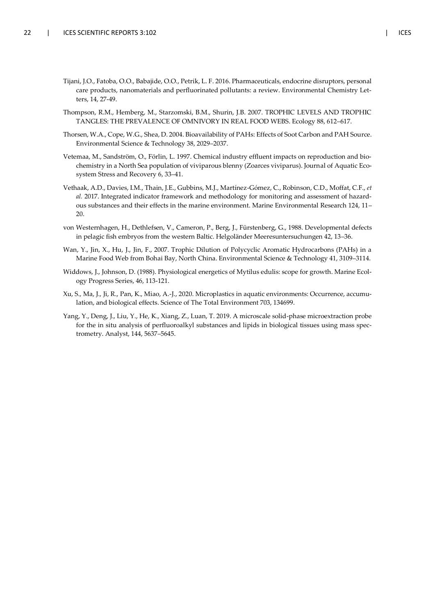- Tijani, J.O., Fatoba, O.O., Babajide, O.O., Petrik, L. F. 2016. Pharmaceuticals, endocrine disruptors, personal care products, nanomaterials and perfluorinated pollutants: a review. Environmental Chemistry Letters, 14, 27-49.
- Thompson, R.M., Hemberg, M., Starzomski, B.M., Shurin, J.B. 2007. TROPHIC LEVELS AND TROPHIC TANGLES: THE PREVALENCE OF OMNIVORY IN REAL FOOD WEBS. Ecology 88, 612–617.
- Thorsen, W.A., Cope, W.G., Shea, D. 2004. Bioavailability of PAHs: Effects of Soot Carbon and PAH Source. Environmental Science & Technology 38, 2029–2037.
- Vetemaa, M., Sandström, O., Förlin, L. 1997. Chemical industry effluent impacts on reproduction and biochemistry in a North Sea population of viviparous blenny (Zoarces viviparus). Journal of Aquatic Ecosystem Stress and Recovery 6, 33–41.
- Vethaak, A.D., Davies, I.M., Thain, J.E., Gubbins, M.J., Martínez-Gómez, C., Robinson, C.D., Moffat, C.F., *et al.* 2017. Integrated indicator framework and methodology for monitoring and assessment of hazardous substances and their effects in the marine environment. Marine Environmental Research 124, 11– 20.
- von Westernhagen, H., Dethlefsen, V., Cameron, P., Berg, J., Fürstenberg, G., 1988. Developmental defects in pelagic fish embryos from the western Baltic. Helgoländer Meeresuntersuchungen 42, 13–36.
- Wan, Y., Jin, X., Hu, J., Jin, F., 2007. Trophic Dilution of Polycyclic Aromatic Hydrocarbons (PAHs) in a Marine Food Web from Bohai Bay, North China. Environmental Science & Technology 41, 3109–3114.
- Widdows, J., Johnson, D. (1988). Physiological energetics of Mytilus edulis: scope for growth. Marine Ecology Progress Series, 46, 113-121.
- Xu, S., Ma, J., Ji, R., Pan, K., Miao, A.-J., 2020. Microplastics in aquatic environments: Occurrence, accumulation, and biological effects. Science of The Total Environment 703, 134699.
- Yang, Y., Deng, J., Liu, Y., He, K., Xiang, Z., Luan, T. 2019. A microscale solid-phase microextraction probe for the in situ analysis of perfluoroalkyl substances and lipids in biological tissues using mass spectrometry. Analyst, 144, 5637–5645.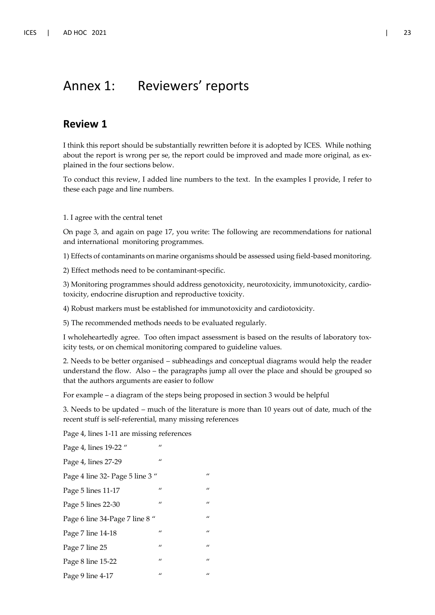### Annex 1: Reviewers' reports

#### **Review 1**

I think this report should be substantially rewritten before it is adopted by ICES. While nothing about the report is wrong per se, the report could be improved and made more original, as explained in the four sections below.

To conduct this review, I added line numbers to the text. In the examples I provide, I refer to these each page and line numbers.

1. I agree with the central tenet

On page 3, and again on page 17, you write: The following are recommendations for national and international monitoring programmes.

1) Effects of contaminants on marine organisms should be assessed using field-based monitoring.

2) Effect methods need to be contaminant-specific.

3) Monitoring programmes should address genotoxicity, neurotoxicity, immunotoxicity, cardiotoxicity, endocrine disruption and reproductive toxicity.

4) Robust markers must be established for immunotoxicity and cardiotoxicity.

5) The recommended methods needs to be evaluated regularly.

I wholeheartedly agree. Too often impact assessment is based on the results of laboratory toxicity tests, or on chemical monitoring compared to guideline values.

2. Needs to be better organised – subheadings and conceptual diagrams would help the reader understand the flow. Also – the paragraphs jump all over the place and should be grouped so that the authors arguments are easier to follow

For example – a diagram of the steps being proposed in section 3 would be helpful

3. Needs to be updated – much of the literature is more than 10 years out of date, much of the recent stuff is self-referential, many missing references

Page 4, lines 1-11 are missing references

Page 4, lines 19-22 " Page 4, lines 27-29 Page 4 line 32- Page 5 line 3 " Page 5 lines  $11-17$  " Page 5 lines 22-30  $\frac{1}{2}$ Page 6 line 34-Page 7 line 8 " Page 7 line 14-18 " Page 7 line 25 Page 8 line 15-22 " Page 9 line  $4-17$  "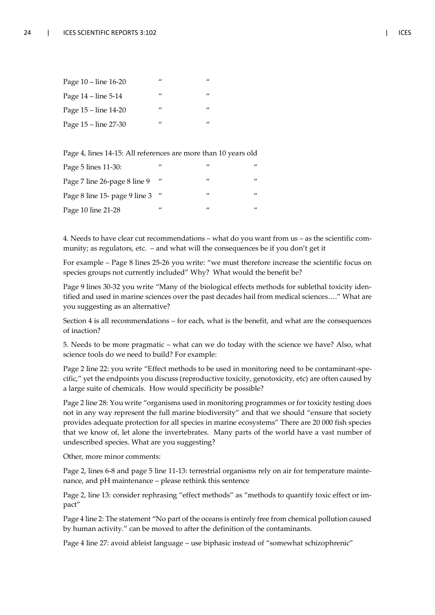| Page 10 – line 16-20  | $\prime\prime$ | $\prime\prime$ |
|-----------------------|----------------|----------------|
| Page $14$ – line 5-14 | $\prime$       | $\prime$       |
| Page 15 – line 14-20  | $\prime$       | $\prime\prime$ |
| Page 15 – line 27-30  | $\prime$       | $\prime\prime$ |

Page 4, lines 14-15: All references are more than 10 years old

| Page 5 lines 11-30:           | $\prime$ | $\prime$ | $\prime$ |
|-------------------------------|----------|----------|----------|
| Page 7 line 26-page 8 line 9  | $\prime$ | $\prime$ | $\prime$ |
| Page 8 line 15- page 9 line 3 | $\mu$    | $\prime$ | $\prime$ |
| Page 10 line 21-28            | $\prime$ | $\prime$ | $\prime$ |

4. Needs to have clear cut recommendations – what do you want from us – as the scientific community; as regulators, etc. – and what will the consequences be if you don't get it

For example – Page 8 lines 25-26 you write: "we must therefore increase the scientific focus on species groups not currently included" Why? What would the benefit be?

Page 9 lines 30-32 you write "Many of the biological effects methods for sublethal toxicity identified and used in marine sciences over the past decades hail from medical sciences…." What are you suggesting as an alternative?

Section 4 is all recommendations – for each, what is the benefit, and what are the consequences of inaction?

5. Needs to be more pragmatic – what can we do today with the science we have? Also, what science tools do we need to build? For example:

Page 2 line 22: you write "Effect methods to be used in monitoring need to be contaminant-specific," yet the endpoints you discuss (reproductive toxicity, genotoxicity, etc) are often caused by a large suite of chemicals. How would specificity be possible?

Page 2 line 28: You write "organisms used in monitoring programmes or for toxicity testing does not in any way represent the full marine biodiversity" and that we should "ensure that society provides adequate protection for all species in marine ecosystems" There are 20 000 fish species that we know of, let alone the invertebrates. Many parts of the world have a vast number of undescribed species. What are you suggesting?

Other, more minor comments:

Page 2, lines 6-8 and page 5 line 11-13: terrestrial organisms rely on air for temperature maintenance, and pH maintenance – please rethink this sentence

Page 2, line 13: consider rephrasing "effect methods" as "methods to quantify toxic effect or impact"

Page 4 line 2: The statement "No part of the oceans is entirely free from chemical pollution caused by human activity." can be moved to after the definition of the contaminants.

Page 4 line 27: avoid ableist language – use biphasic instead of "somewhat schizophrenic"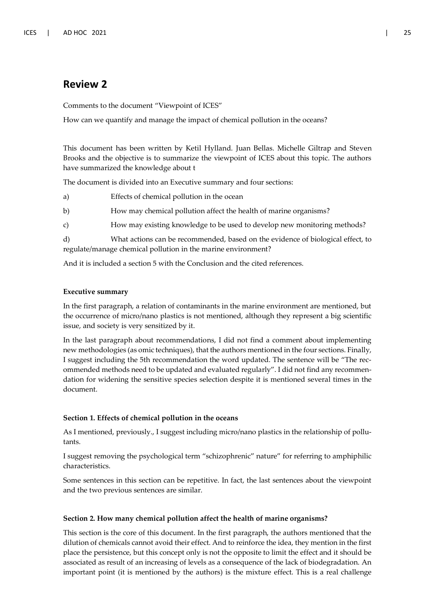### **Review 2**

Comments to the document "Viewpoint of ICES"

How can we quantify and manage the impact of chemical pollution in the oceans?

This document has been written by Ketil Hylland. Juan Bellas. Michelle Giltrap and Steven Brooks and the objective is to summarize the viewpoint of ICES about this topic. The authors have summarized the knowledge about t

The document is divided into an Executive summary and four sections:

- a) Effects of chemical pollution in the ocean
- b) How may chemical pollution affect the health of marine organisms?

c) How may existing knowledge to be used to develop new monitoring methods?

d) What actions can be recommended, based on the evidence of biological effect, to regulate/manage chemical pollution in the marine environment?

And it is included a section 5 with the Conclusion and the cited references.

#### **Executive summary**

In the first paragraph, a relation of contaminants in the marine environment are mentioned, but the occurrence of micro/nano plastics is not mentioned, although they represent a big scientific issue, and society is very sensitized by it.

In the last paragraph about recommendations, I did not find a comment about implementing new methodologies (as omic techniques), that the authors mentioned in the four sections. Finally, I suggest including the 5th recommendation the word updated. The sentence will be "The recommended methods need to be updated and evaluated regularly". I did not find any recommendation for widening the sensitive species selection despite it is mentioned several times in the document.

#### **Section 1. Effects of chemical pollution in the oceans**

As I mentioned, previously., I suggest including micro/nano plastics in the relationship of pollutants.

I suggest removing the psychological term "schizophrenic" nature" for referring to amphiphilic characteristics.

Some sentences in this section can be repetitive. In fact, the last sentences about the viewpoint and the two previous sentences are similar.

#### **Section 2. How many chemical pollution affect the health of marine organisms?**

This section is the core of this document. In the first paragraph, the authors mentioned that the dilution of chemicals cannot avoid their effect. And to reinforce the idea, they mention in the first place the persistence, but this concept only is not the opposite to limit the effect and it should be associated as result of an increasing of levels as a consequence of the lack of biodegradation. An important point (it is mentioned by the authors) is the mixture effect. This is a real challenge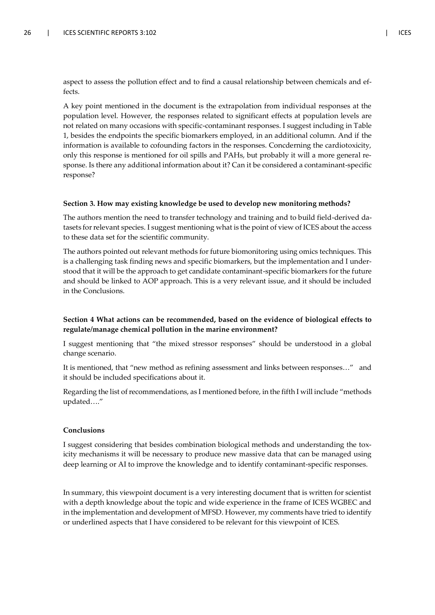aspect to assess the pollution effect and to find a causal relationship between chemicals and effects.

A key point mentioned in the document is the extrapolation from individual responses at the population level. However, the responses related to significant effects at population levels are not related on many occasions with specific-contaminant responses. I suggest including in Table 1, besides the endpoints the specific biomarkers employed, in an additional column. And if the information is available to cofounding factors in the responses. Concderning the cardiotoxicity, only this response is mentioned for oil spills and PAHs, but probably it will a more general response. Is there any additional information about it? Can it be considered a contaminant-specific response?

#### **Section 3. How may existing knowledge be used to develop new monitoring methods?**

The authors mention the need to transfer technology and training and to build field-derived datasets for relevant species. I suggest mentioning what is the point of view of ICES about the access to these data set for the scientific community.

The authors pointed out relevant methods for future biomonitoring using omics techniques. This is a challenging task finding news and specific biomarkers, but the implementation and I understood that it will be the approach to get candidate contaminant-specific biomarkers for the future and should be linked to AOP approach. This is a very relevant issue, and it should be included in the Conclusions.

#### **Section 4 What actions can be recommended, based on the evidence of biological effects to regulate/manage chemical pollution in the marine environment?**

I suggest mentioning that "the mixed stressor responses" should be understood in a global change scenario.

It is mentioned, that "new method as refining assessment and links between responses…" and it should be included specifications about it.

Regarding the list of recommendations, as I mentioned before, in the fifth I will include "methods updated…."

#### **Conclusions**

I suggest considering that besides combination biological methods and understanding the toxicity mechanisms it will be necessary to produce new massive data that can be managed using deep learning or AI to improve the knowledge and to identify contaminant-specific responses.

In summary, this viewpoint document is a very interesting document that is written for scientist with a depth knowledge about the topic and wide experience in the frame of ICES WGBEC and in the implementation and development of MFSD. However, my comments have tried to identify or underlined aspects that I have considered to be relevant for this viewpoint of ICES.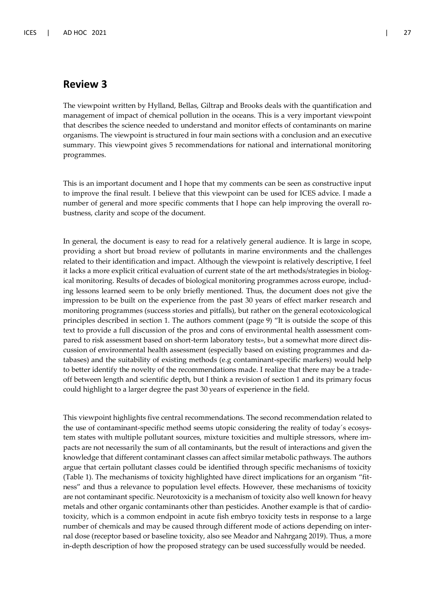#### **Review 3**

The viewpoint written by Hylland, Bellas, Giltrap and Brooks deals with the quantification and management of impact of chemical pollution in the oceans. This is a very important viewpoint that describes the science needed to understand and monitor effects of contaminants on marine organisms. The viewpoint is structured in four main sections with a conclusion and an executive summary. This viewpoint gives 5 recommendations for national and international monitoring programmes.

This is an important document and I hope that my comments can be seen as constructive input to improve the final result. I believe that this viewpoint can be used for ICES advice. I made a number of general and more specific comments that I hope can help improving the overall robustness, clarity and scope of the document.

In general, the document is easy to read for a relatively general audience. It is large in scope, providing a short but broad review of pollutants in marine environments and the challenges related to their identification and impact. Although the viewpoint is relatively descriptive, I feel it lacks a more explicit critical evaluation of current state of the art methods/strategies in biological monitoring. Results of decades of biological monitoring programmes across europe, including lessons learned seem to be only briefly mentioned. Thus, the document does not give the impression to be built on the experience from the past 30 years of effect marker research and monitoring programmes (success stories and pitfalls), but rather on the general ecotoxicological principles described in section 1. The authors comment (page 9) "It is outside the scope of this text to provide a full discussion of the pros and cons of environmental health assessment compared to risk assessment based on short-term laboratory tests», but a somewhat more direct discussion of environmental health assessment (especially based on existing programmes and databases) and the suitability of existing methods (e.g contaminant-specific markers) would help to better identify the novelty of the recommendations made. I realize that there may be a tradeoff between length and scientific depth, but I think a revision of section 1 and its primary focus could highlight to a larger degree the past 30 years of experience in the field.

This viewpoint highlights five central recommendations. The second recommendation related to the use of contaminant-specific method seems utopic considering the reality of today´s ecosystem states with multiple pollutant sources, mixture toxicities and multiple stressors, where impacts are not necessarily the sum of all contaminants, but the result of interactions and given the knowledge that different contaminant classes can affect similar metabolic pathways. The authors argue that certain pollutant classes could be identified through specific mechanisms of toxicity (Table 1). The mechanisms of toxicity highlighted have direct implications for an organism "fitness" and thus a relevance to population level effects. However, these mechanisms of toxicity are not contaminant specific. Neurotoxicity is a mechanism of toxicity also well known for heavy metals and other organic contaminants other than pesticides. Another example is that of cardiotoxicity, which is a common endpoint in acute fish embryo toxicity tests in response to a large number of chemicals and may be caused through different mode of actions depending on internal dose (receptor based or baseline toxicity, also see Meador and Nahrgang 2019). Thus, a more in-depth description of how the proposed strategy can be used successfully would be needed.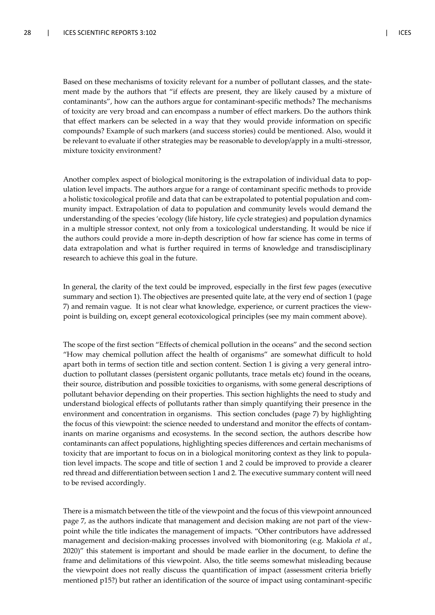Based on these mechanisms of toxicity relevant for a number of pollutant classes, and the statement made by the authors that "if effects are present, they are likely caused by a mixture of contaminants", how can the authors argue for contaminant-specific methods? The mechanisms of toxicity are very broad and can encompass a number of effect markers. Do the authors think that effect markers can be selected in a way that they would provide information on specific compounds? Example of such markers (and success stories) could be mentioned. Also, would it be relevant to evaluate if other strategies may be reasonable to develop/apply in a multi-stressor, mixture toxicity environment?

Another complex aspect of biological monitoring is the extrapolation of individual data to population level impacts. The authors argue for a range of contaminant specific methods to provide a holistic toxicological profile and data that can be extrapolated to potential population and community impact. Extrapolation of data to population and community levels would demand the understanding of the species 'ecology (life history, life cycle strategies) and population dynamics in a multiple stressor context, not only from a toxicological understanding. It would be nice if the authors could provide a more in-depth description of how far science has come in terms of data extrapolation and what is further required in terms of knowledge and transdisciplinary research to achieve this goal in the future.

In general, the clarity of the text could be improved, especially in the first few pages (executive summary and section 1). The objectives are presented quite late, at the very end of section 1 (page 7) and remain vague. It is not clear what knowledge, experience, or current practices the viewpoint is building on, except general ecotoxicological principles (see my main comment above).

The scope of the first section "Effects of chemical pollution in the oceans" and the second section "How may chemical pollution affect the health of organisms" are somewhat difficult to hold apart both in terms of section title and section content. Section 1 is giving a very general introduction to pollutant classes (persistent organic pollutants, trace metals etc) found in the oceans, their source, distribution and possible toxicities to organisms, with some general descriptions of pollutant behavior depending on their properties. This section highlights the need to study and understand biological effects of pollutants rather than simply quantifying their presence in the environment and concentration in organisms. This section concludes (page 7) by highlighting the focus of this viewpoint: the science needed to understand and monitor the effects of contaminants on marine organisms and ecosystems. In the second section, the authors describe how contaminants can affect populations, highlighting species differences and certain mechanisms of toxicity that are important to focus on in a biological monitoring context as they link to population level impacts. The scope and title of section 1 and 2 could be improved to provide a clearer red thread and differentiation between section 1 and 2. The executive summary content will need to be revised accordingly.

There is a mismatch between the title of the viewpoint and the focus of this viewpoint announced page 7, as the authors indicate that management and decision making are not part of the viewpoint while the title indicates the management of impacts. "Other contributors have addressed management and decision-making processes involved with biomonitoring (e.g. Makiola *et al.*, 2020)" this statement is important and should be made earlier in the document, to define the frame and delimitations of this viewpoint. Also, the title seems somewhat misleading because the viewpoint does not really discuss the quantification of impact (assessment criteria briefly mentioned p15?) but rather an identification of the source of impact using contaminant-specific